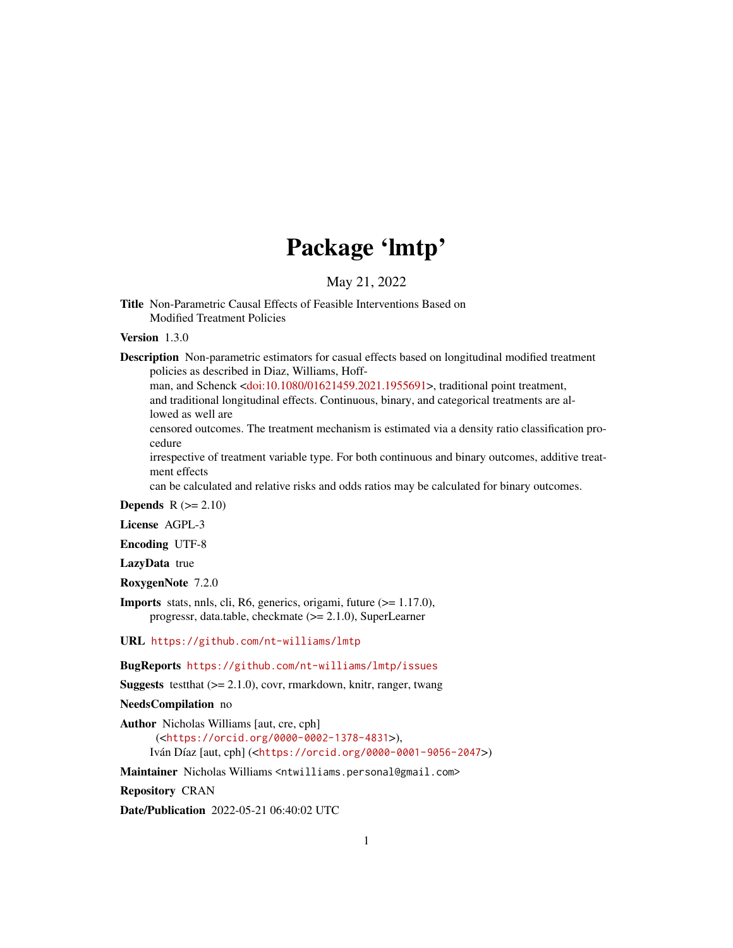## Package 'lmtp'

May 21, 2022

Title Non-Parametric Causal Effects of Feasible Interventions Based on Modified Treatment Policies

Version 1.3.0

Description Non-parametric estimators for casual effects based on longitudinal modified treatment policies as described in Diaz, Williams, Hoff-

man, and Schenck [<doi:10.1080/01621459.2021.1955691>](https://doi.org/10.1080/01621459.2021.1955691), traditional point treatment,

and traditional longitudinal effects. Continuous, binary, and categorical treatments are allowed as well are

censored outcomes. The treatment mechanism is estimated via a density ratio classification procedure

irrespective of treatment variable type. For both continuous and binary outcomes, additive treatment effects

can be calculated and relative risks and odds ratios may be calculated for binary outcomes.

**Depends**  $R$  ( $>= 2.10$ )

License AGPL-3

Encoding UTF-8

LazyData true

RoxygenNote 7.2.0

Imports stats, nnls, cli, R6, generics, origami, future (>= 1.17.0), progressr, data.table, checkmate (>= 2.1.0), SuperLearner

URL <https://github.com/nt-williams/lmtp>

BugReports <https://github.com/nt-williams/lmtp/issues>

**Suggests** test that  $(>= 2.1.0)$ , covr, rmarkdown, knitr, ranger, twang

NeedsCompilation no

Author Nicholas Williams [aut, cre, cph] (<<https://orcid.org/0000-0002-1378-4831>>),

Iván Díaz [aut, cph] (<<https://orcid.org/0000-0001-9056-2047>>)

Maintainer Nicholas Williams <ntwilliams.personal@gmail.com>

Repository CRAN

Date/Publication 2022-05-21 06:40:02 UTC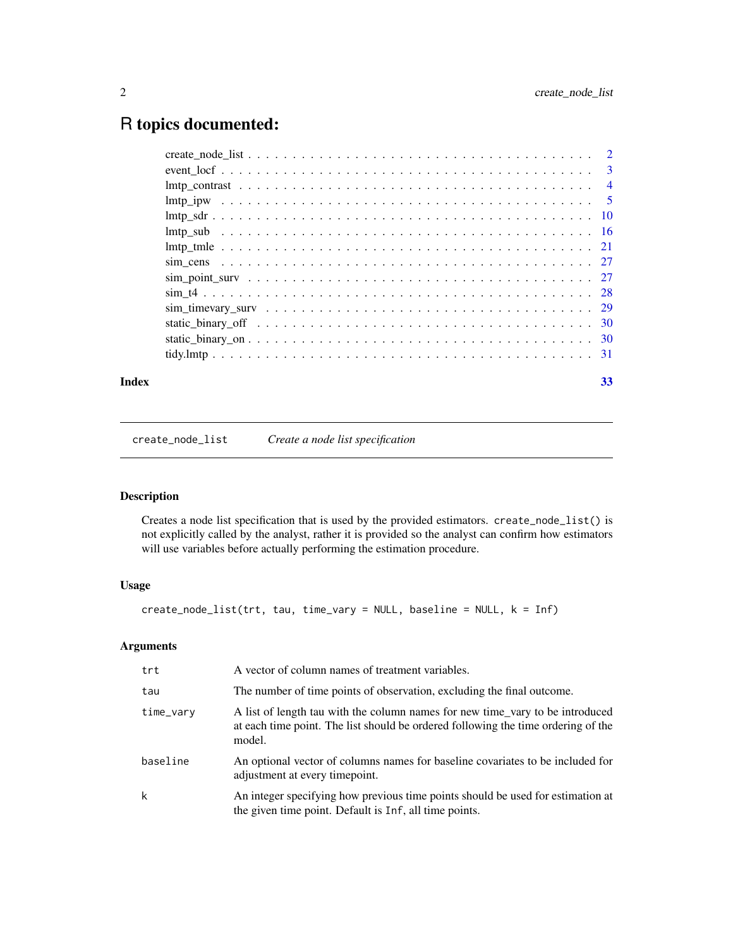## <span id="page-1-0"></span>R topics documented:

| Index | 33 |
|-------|----|

create\_node\_list *Create a node list specification*

## Description

Creates a node list specification that is used by the provided estimators. create\_node\_list() is not explicitly called by the analyst, rather it is provided so the analyst can confirm how estimators will use variables before actually performing the estimation procedure.

## Usage

```
create_node_list(trt, tau, time_vary = NULL, baseline = NULL, k = Inf)
```

| trt       | A vector of column names of treatment variables.                                                                                                                             |
|-----------|------------------------------------------------------------------------------------------------------------------------------------------------------------------------------|
| tau       | The number of time points of observation, excluding the final outcome.                                                                                                       |
| time_vary | A list of length tau with the column names for new time_vary to be introduced<br>at each time point. The list should be ordered following the time ordering of the<br>model. |
| baseline  | An optional vector of columns names for baseline covariates to be included for<br>adjustment at every timepoint.                                                             |
| k         | An integer specifying how previous time points should be used for estimation at<br>the given time point. Default is Inf, all time points.                                    |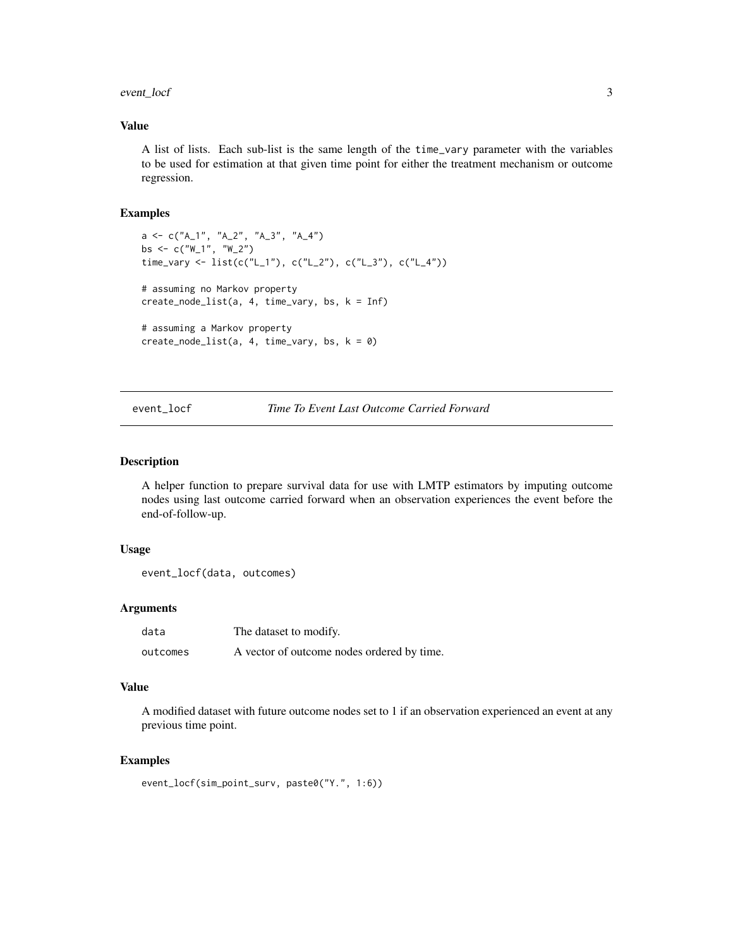## <span id="page-2-0"></span>event\_locf 3

## Value

A list of lists. Each sub-list is the same length of the time\_vary parameter with the variables to be used for estimation at that given time point for either the treatment mechanism or outcome regression.

## Examples

```
a \leq c("A_1", "A_2", "A_3", "A_4")bs \leq c("W_1", "W_2")
time_vary <- list(c("L_1"), c("L_2"), c("L_3"), c("L_4"))
# assuming no Markov property
create_node_list(a, 4, time_vary, bs, k = Inf)
# assuming a Markov property
create_node_list(a, 4, time_vary, bs, k = 0)
```
## event\_locf *Time To Event Last Outcome Carried Forward*

## Description

A helper function to prepare survival data for use with LMTP estimators by imputing outcome nodes using last outcome carried forward when an observation experiences the event before the end-of-follow-up.

#### Usage

```
event_locf(data, outcomes)
```
#### Arguments

| data     | The dataset to modify.                     |
|----------|--------------------------------------------|
| outcomes | A vector of outcome nodes ordered by time. |

### Value

A modified dataset with future outcome nodes set to 1 if an observation experienced an event at any previous time point.

```
event_locf(sim_point_surv, paste0("Y.", 1:6))
```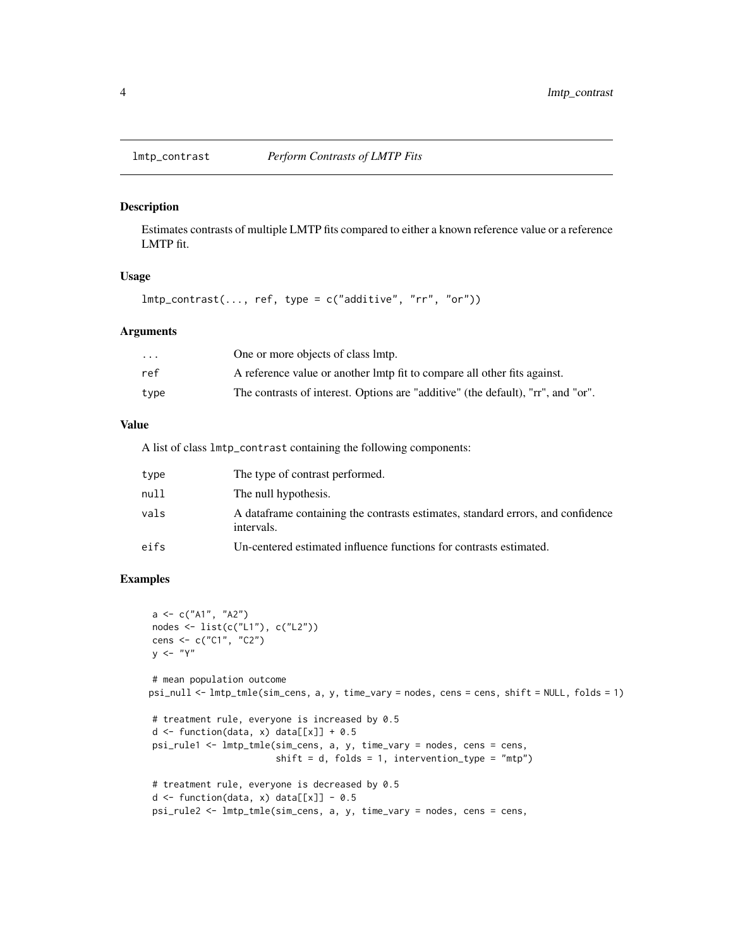<span id="page-3-0"></span>

#### Description

Estimates contrasts of multiple LMTP fits compared to either a known reference value or a reference LMTP fit.

## Usage

 $lmtp_{control}(\ldots, ref, type = c("additive", "rr", "or"))$ 

#### Arguments

| $\cdots$ | One or more objects of class lmtp.                                               |
|----------|----------------------------------------------------------------------------------|
| ref      | A reference value or another lmtp fit to compare all other fits against.         |
| type     | The contrasts of interest. Options are "additive" (the default), "rr", and "or". |

## Value

A list of class lmtp\_contrast containing the following components:

| type | The type of contrast performed.                                                                |
|------|------------------------------------------------------------------------------------------------|
| null | The null hypothesis.                                                                           |
| vals | A data frame containing the contrasts estimates, standard errors, and confidence<br>intervals. |
| eifs | Un-centered estimated influence functions for contrasts estimated.                             |

```
a <- c("A1", "A2")
nodes <- list(c("L1"), c("L2"))
cens <- c("C1", "C2")
y \le - "Y"
# mean population outcome
psi_null <- lmtp_tmle(sim_cens, a, y, time_vary = nodes, cens = cens, shift = NULL, folds = 1)
# treatment rule, everyone is increased by 0.5
d \leq function(data, x) data[[x]] + 0.5
psi_rule1 <- lmtp_tmle(sim_cens, a, y, time_vary = nodes, cens = cens,
                        shift = d, folds = 1, intervention_type = "mtp")# treatment rule, everyone is decreased by 0.5
d \leftarrow function(data, x) data[[x]] - 0.5psi_rule2 <- lmtp_tmle(sim_cens, a, y, time_vary = nodes, cens = cens,
```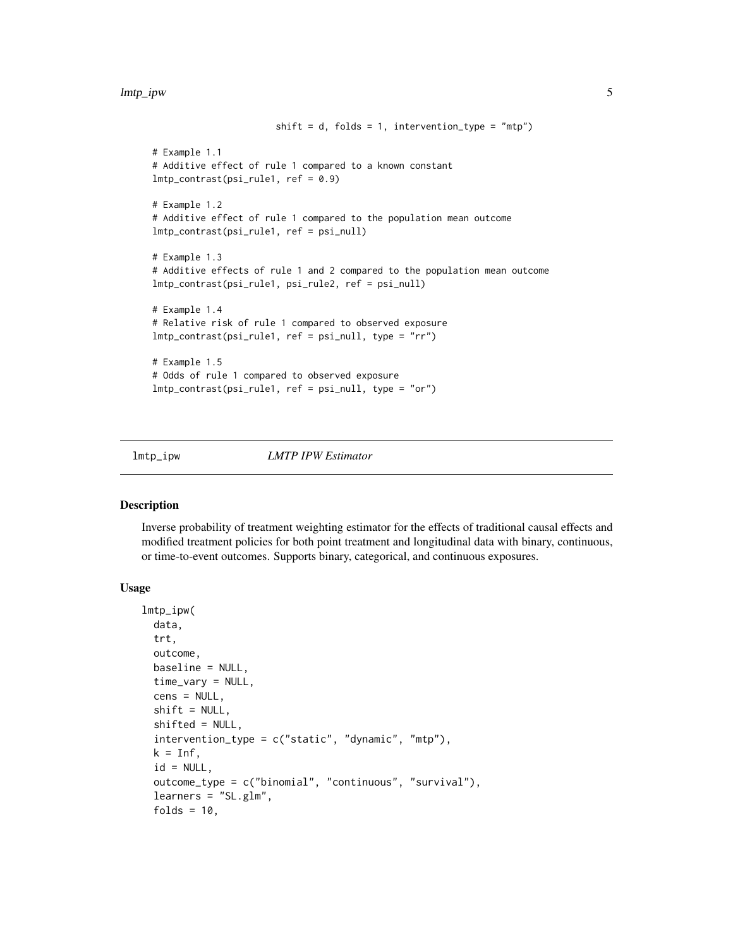#### <span id="page-4-0"></span>lmtp\_ipw 5

```
shift = d, folds = 1, intervention_type = "mtp")# Example 1.1
# Additive effect of rule 1 compared to a known constant
lmtp_contrast(psi_rule1, ref = 0.9)
# Example 1.2
# Additive effect of rule 1 compared to the population mean outcome
lmtp_contrast(psi_rule1, ref = psi_null)
# Example 1.3
# Additive effects of rule 1 and 2 compared to the population mean outcome
lmtp_contrast(psi_rule1, psi_rule2, ref = psi_null)
# Example 1.4
# Relative risk of rule 1 compared to observed exposure
lmtp_contrast(psi_rule1, ref = psi_null, type = "rr")
# Example 1.5
# Odds of rule 1 compared to observed exposure
lmtp_contrast(psi_rule1, ref = psi_null, type = "or")
```
<span id="page-4-1"></span>

lmtp\_ipw *LMTP IPW Estimator*

#### Description

Inverse probability of treatment weighting estimator for the effects of traditional causal effects and modified treatment policies for both point treatment and longitudinal data with binary, continuous, or time-to-event outcomes. Supports binary, categorical, and continuous exposures.

#### Usage

```
lmtp_ipw(
  data,
  trt,
  outcome,
 baseline = NULL,
  time_vary = NULL,
  cens = NULL,
  shift = NULL,shifted = NULL,
  intervention_type = c("static", "dynamic", "mtp"),
 k = Inf,
  id = NULL,outcome_type = c("binomial", "continuous", "survival"),
  learners = "SL.glm",
  folds = 10,
```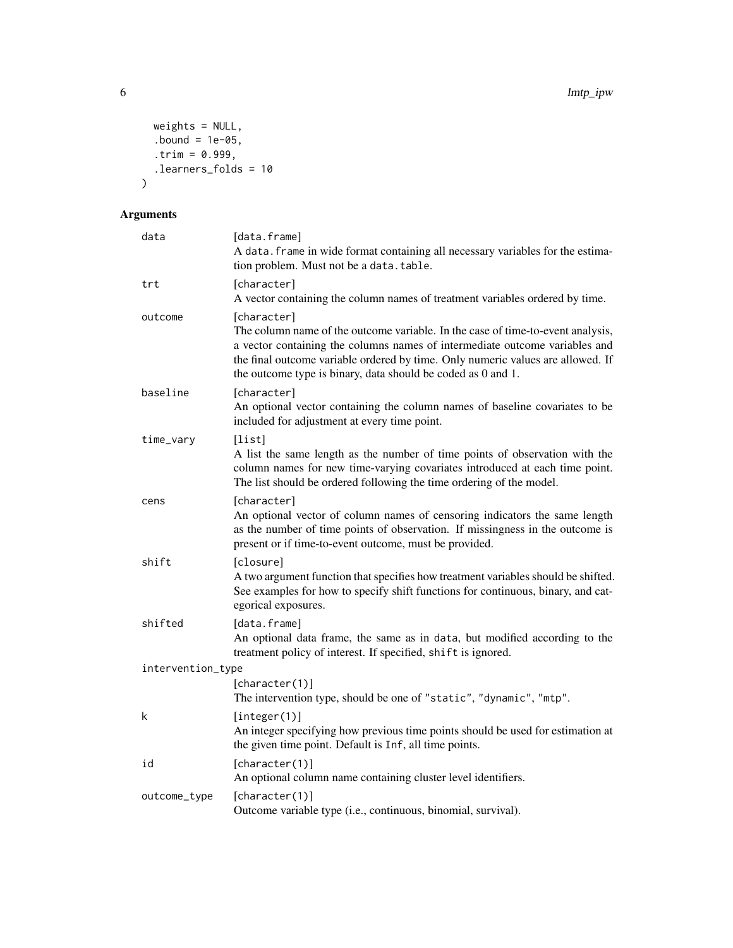```
weights = NULL,
 bound = 1e-05,
 .trim = 0.999,
 .learners_folds = 10
\mathcal{L}
```

| data              | [data.frame]<br>A data. frame in wide format containing all necessary variables for the estima-<br>tion problem. Must not be a data.table.                                                                                                                                                                                       |
|-------------------|----------------------------------------------------------------------------------------------------------------------------------------------------------------------------------------------------------------------------------------------------------------------------------------------------------------------------------|
| trt               | [character]<br>A vector containing the column names of treatment variables ordered by time.                                                                                                                                                                                                                                      |
| outcome           | [character]<br>The column name of the outcome variable. In the case of time-to-event analysis,<br>a vector containing the columns names of intermediate outcome variables and<br>the final outcome variable ordered by time. Only numeric values are allowed. If<br>the outcome type is binary, data should be coded as 0 and 1. |
| baseline          | [character]<br>An optional vector containing the column names of baseline covariates to be<br>included for adjustment at every time point.                                                                                                                                                                                       |
| time_vary         | [list]<br>A list the same length as the number of time points of observation with the<br>column names for new time-varying covariates introduced at each time point.<br>The list should be ordered following the time ordering of the model.                                                                                     |
| cens              | [character]<br>An optional vector of column names of censoring indicators the same length<br>as the number of time points of observation. If missingness in the outcome is<br>present or if time-to-event outcome, must be provided.                                                                                             |
| shift             | [closure]<br>A two argument function that specifies how treatment variables should be shifted.<br>See examples for how to specify shift functions for continuous, binary, and cat-<br>egorical exposures.                                                                                                                        |
| shifted           | [data.frame]<br>An optional data frame, the same as in data, but modified according to the<br>treatment policy of interest. If specified, shift is ignored.                                                                                                                                                                      |
| intervention_type |                                                                                                                                                                                                                                                                                                                                  |
|                   | [character(1)]<br>The intervention type, should be one of "static", "dynamic", "mtp".                                                                                                                                                                                                                                            |
| k                 | [integer(1)]<br>An integer specifying how previous time points should be used for estimation at<br>the given time point. Default is Inf, all time points.                                                                                                                                                                        |
| id                | [character(1)]<br>An optional column name containing cluster level identifiers.                                                                                                                                                                                                                                                  |
| outcome_type      | [character(1)]<br>Outcome variable type (i.e., continuous, binomial, survival).                                                                                                                                                                                                                                                  |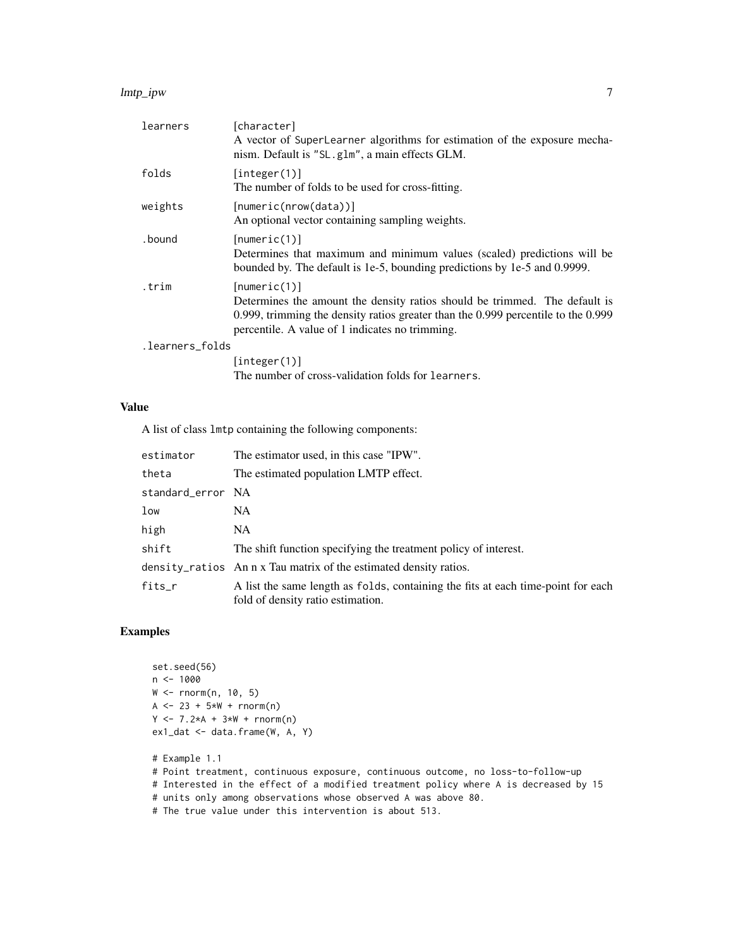#### lmtp\_ipw 7

| learners        | [character]<br>A vector of SuperLearner algorithms for estimation of the exposure mecha-<br>nism. Default is "SL.g1m", a main effects GLM.                                                                                             |  |
|-----------------|----------------------------------------------------------------------------------------------------------------------------------------------------------------------------------------------------------------------------------------|--|
| folds           | [integer(1)]<br>The number of folds to be used for cross-fitting.                                                                                                                                                                      |  |
| weights         | [numeric(nrow(data))]<br>An optional vector containing sampling weights.                                                                                                                                                               |  |
| .bound          | [numeric(1)]<br>Determines that maximum and minimum values (scaled) predictions will be<br>bounded by. The default is 1e-5, bounding predictions by 1e-5 and 0.9999.                                                                   |  |
| .trim           | [numeric(1)]<br>Determines the amount the density ratios should be trimmed. The default is<br>0.999, trimming the density ratios greater than the $0.999$ percentile to the $0.999$<br>percentile. A value of 1 indicates no trimming. |  |
| .learners_folds |                                                                                                                                                                                                                                        |  |
|                 | [integer(1)]<br>The number of cross-validation folds for learners.                                                                                                                                                                     |  |
|                 |                                                                                                                                                                                                                                        |  |

## Value

A list of class lmtp containing the following components:

| estimator         | The estimator used, in this case "IPW".                                                                               |
|-------------------|-----------------------------------------------------------------------------------------------------------------------|
| theta             | The estimated population LMTP effect.                                                                                 |
| standard_error NA |                                                                                                                       |
| low               | NA.                                                                                                                   |
| high              | NA.                                                                                                                   |
| shift             | The shift function specifying the treatment policy of interest.                                                       |
|                   | density_ratios An n x Tau matrix of the estimated density ratios.                                                     |
| fits_r            | A list the same length as folds, containing the fits at each time-point for each<br>fold of density ratio estimation. |

```
set.seed(56)
n < -1000W <- rnorm(n, 10, 5)
A <- 23 + 5*N + rnorm(n)Y \le -7.2*A + 3*W + rnorm(n)ex1_dat <- data.frame(W, A, Y)
# Example 1.1
# Point treatment, continuous exposure, continuous outcome, no loss-to-follow-up
# Interested in the effect of a modified treatment policy where A is decreased by 15
# units only among observations whose observed A was above 80.
# The true value under this intervention is about 513.
```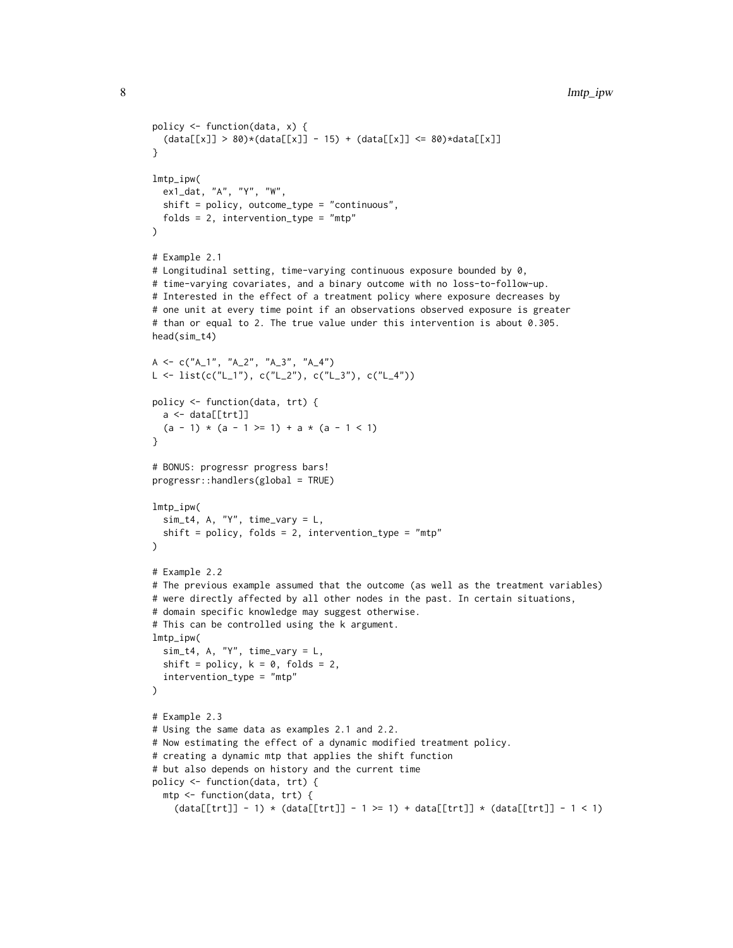```
policy <- function(data, x) {
  (data[[x]] > 80)*(data[[x]] - 15) + (data[[x]] <= 80)*data[[x]]}
lmtp_ipw(
 ex1_dat, "A", "Y", "W",
 shift = policy, outcome_type = "continuous",
 folds = 2, intervention_type = "mtp"
\lambda# Example 2.1
# Longitudinal setting, time-varying continuous exposure bounded by 0,
# time-varying covariates, and a binary outcome with no loss-to-follow-up.
# Interested in the effect of a treatment policy where exposure decreases by
# one unit at every time point if an observations observed exposure is greater
# than or equal to 2. The true value under this intervention is about 0.305.
head(sim_t4)
A <- c("A_1", "A_2", "A_3", "A_4")
L \leftarrow \text{list}(c("L_1"), c("L_2"), c("L_3"), c("L_4")policy <- function(data, trt) {
 a \leftarrow data[[trt]]
  (a - 1) * (a - 1) = 1) + a * (a - 1)}
# BONUS: progressr progress bars!
progressr::handlers(global = TRUE)
lmtp_ipw(
 sim_t4, A, "Y", time_vary = L,
 shift = policy, folds = 2, intervention_type = "mtp"
\lambda# Example 2.2
# The previous example assumed that the outcome (as well as the treatment variables)
# were directly affected by all other nodes in the past. In certain situations,
# domain specific knowledge may suggest otherwise.
# This can be controlled using the k argument.
lmtp_ipw(
  sim_t4, A, "Y", time_vary = L,
  shift = policy, k = 0, folds = 2,
  intervention_type = "mtp"
\lambda# Example 2.3
# Using the same data as examples 2.1 and 2.2.
# Now estimating the effect of a dynamic modified treatment policy.
# creating a dynamic mtp that applies the shift function
# but also depends on history and the current time
policy <- function(data, trt) {
  mtp <- function(data, trt) {
    (data[[trt]] - 1) * (data[[trt]] - 1 >= 1) + data[[trt]] * (data[[trt]] - 1 < 1)
```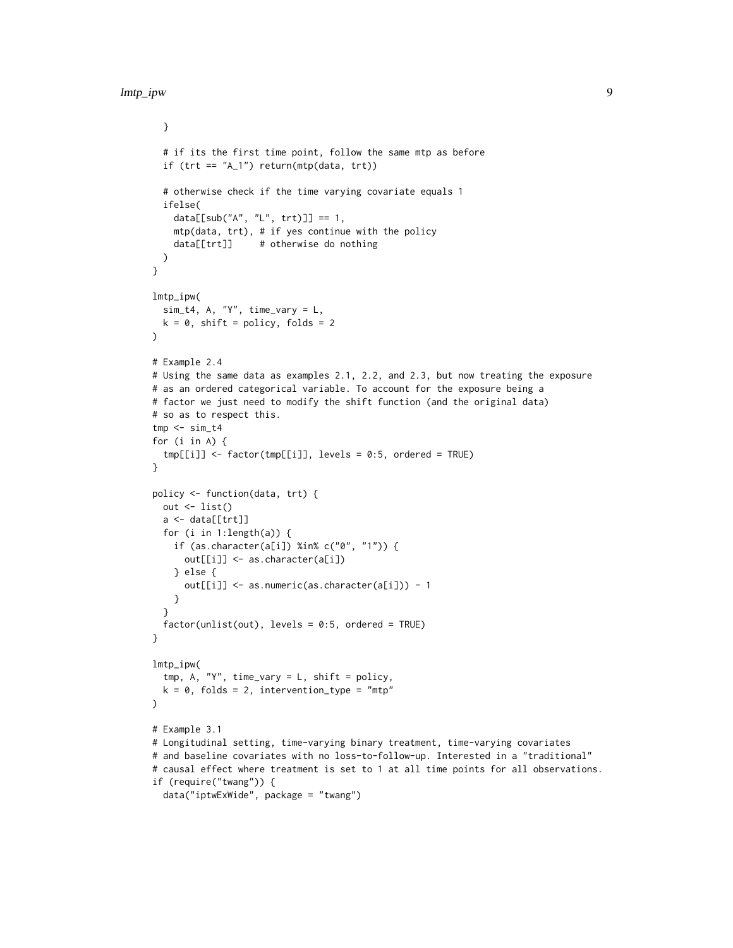}

```
# if its the first time point, follow the same mtp as before
  if (\text{tr } t == "A_1") return(\text{mtp}(\text{data}, \text{tr } t))
  # otherwise check if the time varying covariate equals 1
  ifelse(
    data[[sub("A", "L", trt)]] == 1,mtp(data, trt), # if yes continue with the policy
    data[[trt]] # otherwise do nothing
 )
}
lmtp_ipw(
 sim\_t4, A, "Y", time_vary = L,
 k = 0, shift = policy, folds = 2
)
# Example 2.4
# Using the same data as examples 2.1, 2.2, and 2.3, but now treating the exposure
# as an ordered categorical variable. To account for the exposure being a
# factor we just need to modify the shift function (and the original data)
# so as to respect this.
tmp < - sim_t4for (i in A) {
  tmp[[i]] <- factor(tmp[[i]], levels = 0:5, ordered = TRUE)
}
policy <- function(data, trt) {
 out \leftarrow list()
  a <- data[[trt]]
  for (i in 1:length(a)) {
   if (as.character(a[i]) %in% c("0", "1")) {
      out[[i]] <- as.character(a[i])
    } else {
      out[[i]] <- as.numeric(as.character(a[i])) - 1
    }
  }
  factor(unlist(out), levels = 0:5, ordered = TRUE)}
lmtp_ipw(
  tmp, A, "Y", time_vary = L, shift = policy,
 k = 0, folds = 2, intervention_type = "mtp"
\lambda# Example 3.1
# Longitudinal setting, time-varying binary treatment, time-varying covariates
# and baseline covariates with no loss-to-follow-up. Interested in a "traditional"
# causal effect where treatment is set to 1 at all time points for all observations.
if (require("twang")) {
  data("iptwExWide", package = "twang")
```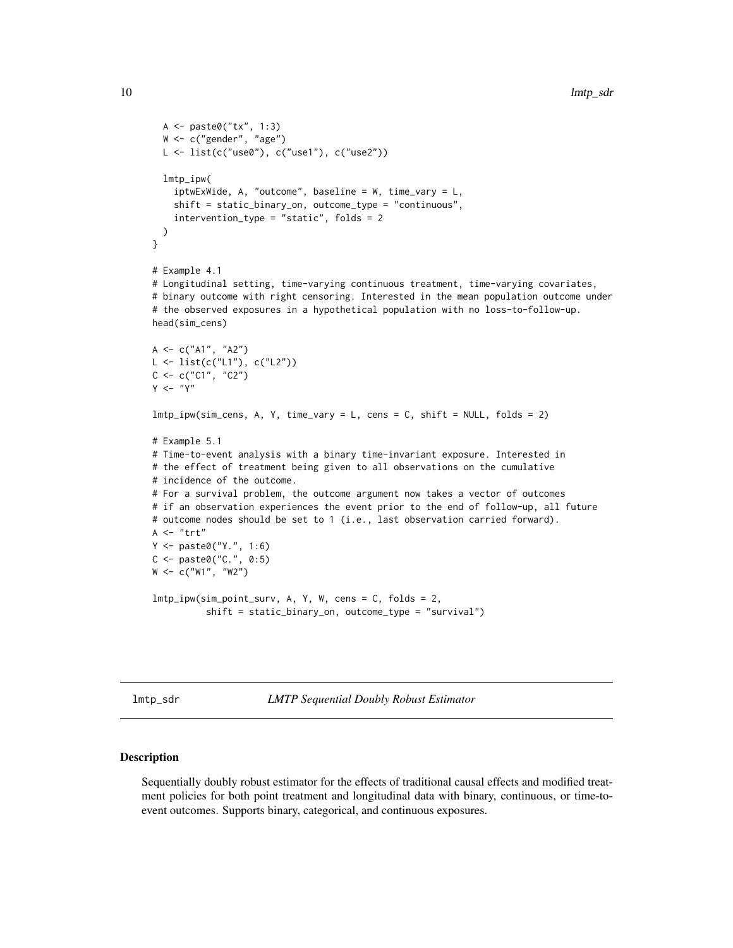```
A <- paste0("tx", 1:3)
  W <- c("gender", "age")
 L <- list(c("use0"), c("use1"), c("use2"))
  lmtp_ipw(
    iptwExWide, A, "outcome", baseline = W, time_vary = L,
    shift = static_binary_on, outcome_type = "continuous",
    intervention_type = "static", folds = 2
 )
}
# Example 4.1
# Longitudinal setting, time-varying continuous treatment, time-varying covariates,
# binary outcome with right censoring. Interested in the mean population outcome under
# the observed exposures in a hypothetical population with no loss-to-follow-up.
head(sim_cens)
A \leq -c("A1", "A2")L <- list(c("L1"), c("L2"))
C \leq -c("C1", "C2")Y < - "Y"
lmtp_ipw(sim_cens, A, Y, time_vary = L, cens = C, shift = NULL, folds = 2)
# Example 5.1
# Time-to-event analysis with a binary time-invariant exposure. Interested in
# the effect of treatment being given to all observations on the cumulative
# incidence of the outcome.
# For a survival problem, the outcome argument now takes a vector of outcomes
# if an observation experiences the event prior to the end of follow-up, all future
# outcome nodes should be set to 1 (i.e., last observation carried forward).
A \leq - "trt"
Y <- paste0("Y.", 1:6)
C <- paste0("C.", 0:5)
W <- c("W1", "W2")
lmtp_ipw(sim_point_surv, A, Y, W, cens = C, folds = 2,
          shift = static_binary_on, outcome_type = "survival")
```

```
lmtp_sdr LMTP Sequential Doubly Robust Estimator
```
#### Description

Sequentially doubly robust estimator for the effects of traditional causal effects and modified treatment policies for both point treatment and longitudinal data with binary, continuous, or time-toevent outcomes. Supports binary, categorical, and continuous exposures.

<span id="page-9-0"></span>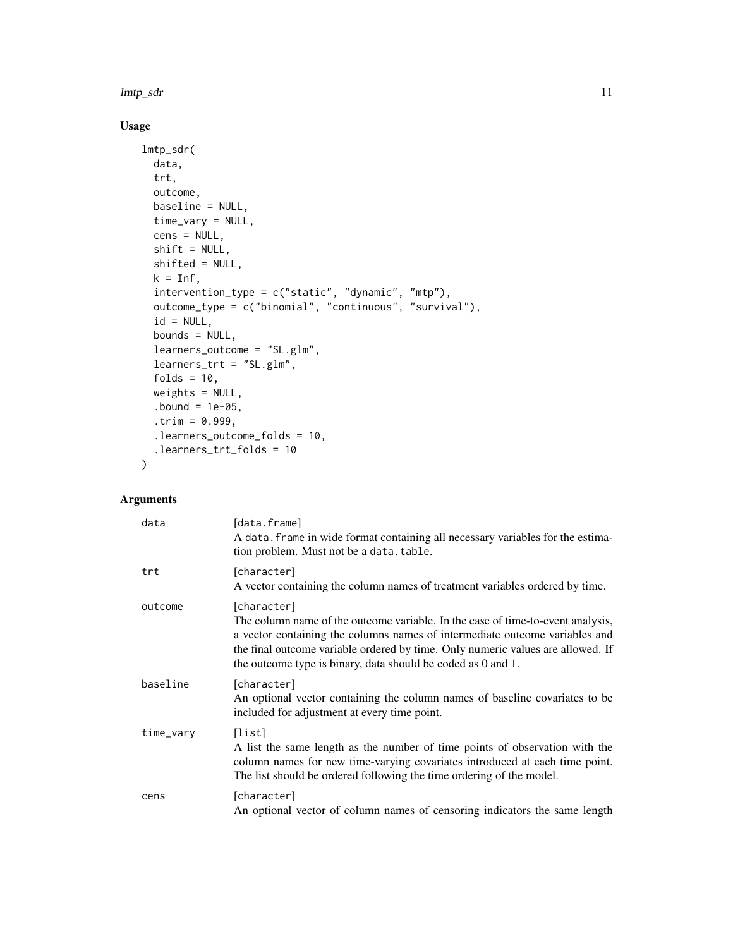lmtp\_sdr 11

## Usage

```
lmtp_sdr(
  data,
  trt,
 outcome,
 baseline = NULL,
  time_vary = NULL,
  cens = NULL,
  shift = NULL,
  shifted = NULL,
 k = Inf,intervention_type = c("static", "dynamic", "mtp"),
 outcome_type = c("binomial", "continuous", "survival"),
  id = NULL,bounds = NULL,
  learners_outcome = "SL.glm",
  learners_trt = "SL.glm",
  folds = 10,
 weights = NULL,
  bound = 1e-05,
  .trim = 0.999,
  .learners_outcome_folds = 10,
  .learners_trt_folds = 10
\mathcal{L}
```

| data      | [data.frame]<br>A data. frame in wide format containing all necessary variables for the estima-<br>tion problem. Must not be a data. table.                                                                                                                                                                                      |
|-----------|----------------------------------------------------------------------------------------------------------------------------------------------------------------------------------------------------------------------------------------------------------------------------------------------------------------------------------|
| trt       | [character]<br>A vector containing the column names of treatment variables ordered by time.                                                                                                                                                                                                                                      |
| outcome   | [character]<br>The column name of the outcome variable. In the case of time-to-event analysis,<br>a vector containing the columns names of intermediate outcome variables and<br>the final outcome variable ordered by time. Only numeric values are allowed. If<br>the outcome type is binary, data should be coded as 0 and 1. |
| baseline  | [character]<br>An optional vector containing the column names of baseline covariates to be<br>included for adjustment at every time point.                                                                                                                                                                                       |
| time_vary | [list]<br>A list the same length as the number of time points of observation with the<br>column names for new time-varying covariates introduced at each time point.<br>The list should be ordered following the time ordering of the model.                                                                                     |
| cens      | [character]<br>An optional vector of column names of censoring indicators the same length                                                                                                                                                                                                                                        |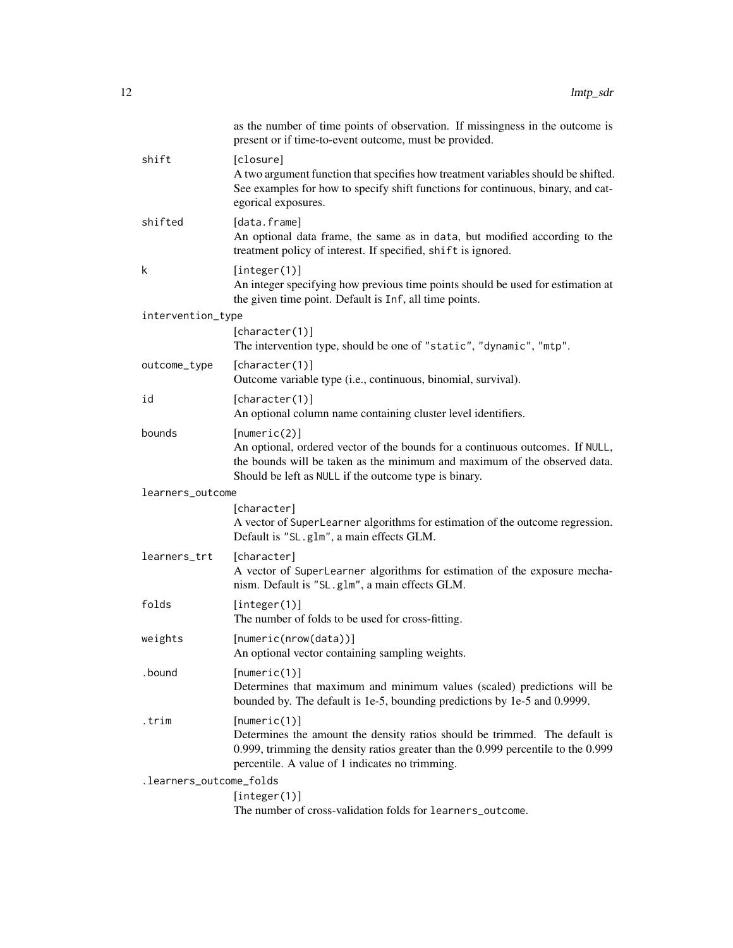|                         | as the number of time points of observation. If missingness in the outcome is<br>present or if time-to-event outcome, must be provided.                                                                                             |
|-------------------------|-------------------------------------------------------------------------------------------------------------------------------------------------------------------------------------------------------------------------------------|
| shift                   | [closure]<br>A two argument function that specifies how treatment variables should be shifted.<br>See examples for how to specify shift functions for continuous, binary, and cat-<br>egorical exposures.                           |
| shifted                 | [data.frame]<br>An optional data frame, the same as in data, but modified according to the<br>treatment policy of interest. If specified, shift is ignored.                                                                         |
| k                       | [integer(1)]<br>An integer specifying how previous time points should be used for estimation at<br>the given time point. Default is Inf, all time points.                                                                           |
| intervention_type       |                                                                                                                                                                                                                                     |
|                         | [character(1)]<br>The intervention type, should be one of "static", "dynamic", "mtp".                                                                                                                                               |
| outcome_type            | [character(1)]<br>Outcome variable type (i.e., continuous, binomial, survival).                                                                                                                                                     |
| id                      | [character(1)]<br>An optional column name containing cluster level identifiers.                                                                                                                                                     |
| bounds                  | [numeric(2)]<br>An optional, ordered vector of the bounds for a continuous outcomes. If NULL,<br>the bounds will be taken as the minimum and maximum of the observed data.<br>Should be left as NULL if the outcome type is binary. |
| learners_outcome        |                                                                                                                                                                                                                                     |
|                         | [character]<br>A vector of SuperLearner algorithms for estimation of the outcome regression.<br>Default is "SL.glm", a main effects GLM.                                                                                            |
| learners_trt            | [character]<br>A vector of SuperLearner algorithms for estimation of the exposure mecha-<br>nism. Default is "SL.glm", a main effects GLM.                                                                                          |
| folds                   | [integer(1)]<br>The number of folds to be used for cross-fitting.                                                                                                                                                                   |
| weights                 | [numeric(nrow(data))]<br>An optional vector containing sampling weights.                                                                                                                                                            |
| .bound                  | [numeric(1)]<br>Determines that maximum and minimum values (scaled) predictions will be<br>bounded by. The default is 1e-5, bounding predictions by 1e-5 and 0.9999.                                                                |
| .trim                   | [numeric(1)]<br>Determines the amount the density ratios should be trimmed. The default is<br>0.999, trimming the density ratios greater than the 0.999 percentile to the 0.999<br>percentile. A value of 1 indicates no trimming.  |
| .learners_outcome_folds |                                                                                                                                                                                                                                     |
|                         | [integer(1)]<br>The number of cross-validation folds for learners_outcome.                                                                                                                                                          |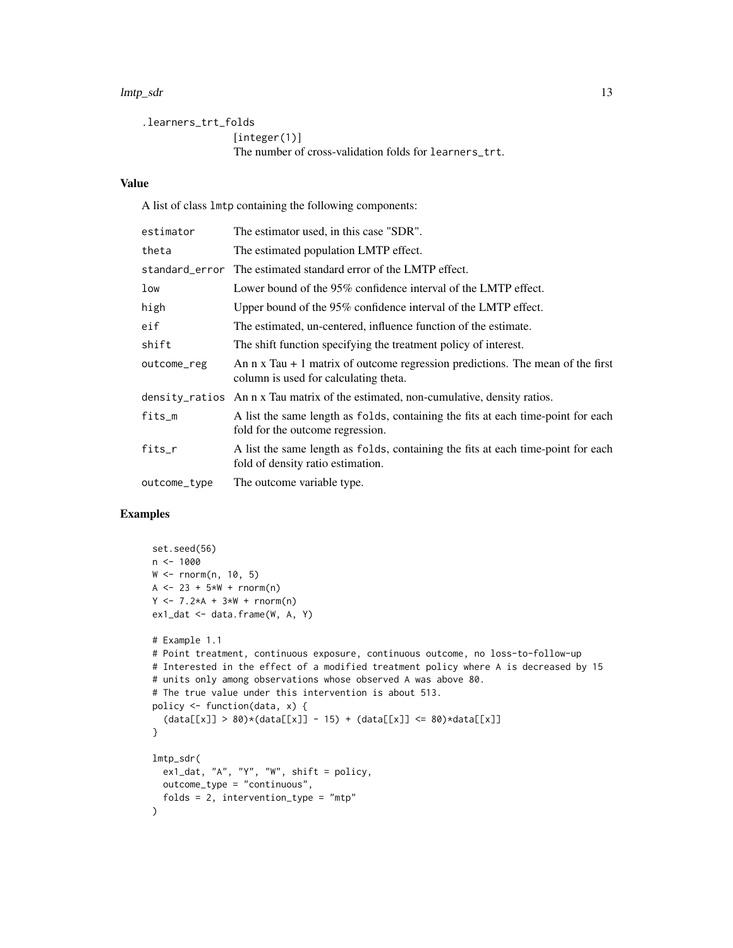#### lmtp\_sdr is a contract of the contract of the contract of the contract of the contract of the contract of the contract of the contract of the contract of the contract of the contract of the contract of the contract of the

```
.learners_trt_folds
                 [integer(1)]
                 The number of cross-validation folds for learners_trt.
```
## Value

A list of class lmtp containing the following components:

| estimator    | The estimator used, in this case "SDR".                                                                                         |
|--------------|---------------------------------------------------------------------------------------------------------------------------------|
| theta        | The estimated population LMTP effect.                                                                                           |
|              | standard_error The estimated standard error of the LMTP effect.                                                                 |
| low          | Lower bound of the 95% confidence interval of the LMTP effect.                                                                  |
| high         | Upper bound of the 95% confidence interval of the LMTP effect.                                                                  |
| eif          | The estimated, un-centered, influence function of the estimate.                                                                 |
| shift        | The shift function specifying the treatment policy of interest.                                                                 |
| outcome_reg  | An $n \times T$ au + 1 matrix of outcome regression predictions. The mean of the first<br>column is used for calculating theta. |
|              | density_ratios An n x Tau matrix of the estimated, non-cumulative, density ratios.                                              |
| fits_m       | A list the same length as folds, containing the fits at each time-point for each<br>fold for the outcome regression.            |
| fits_r       | A list the same length as folds, containing the fits at each time-point for each<br>fold of density ratio estimation.           |
| outcome_type | The outcome variable type.                                                                                                      |

```
set.seed(56)
n < - 1000W < - rnorm(n, 10, 5)
A \le -23 + 5*N + rnorm(n)Y \le -7.2*A + 3*W + rnorm(n)ex1_dat <- data.frame(W, A, Y)
# Example 1.1
# Point treatment, continuous exposure, continuous outcome, no loss-to-follow-up
# Interested in the effect of a modified treatment policy where A is decreased by 15
# units only among observations whose observed A was above 80.
# The true value under this intervention is about 513.
policy <- function(data, x) {
  (data[[x]] > 80)*(data[[x]] - 15) + (data[[x]] \le 80)*data[[x]]}
lmtp_sdr(
 ex1_dat, "A", "Y", "W", shift = policy,
 outcome_type = "continuous",
 folds = 2, intervention_type = mtp"
)
```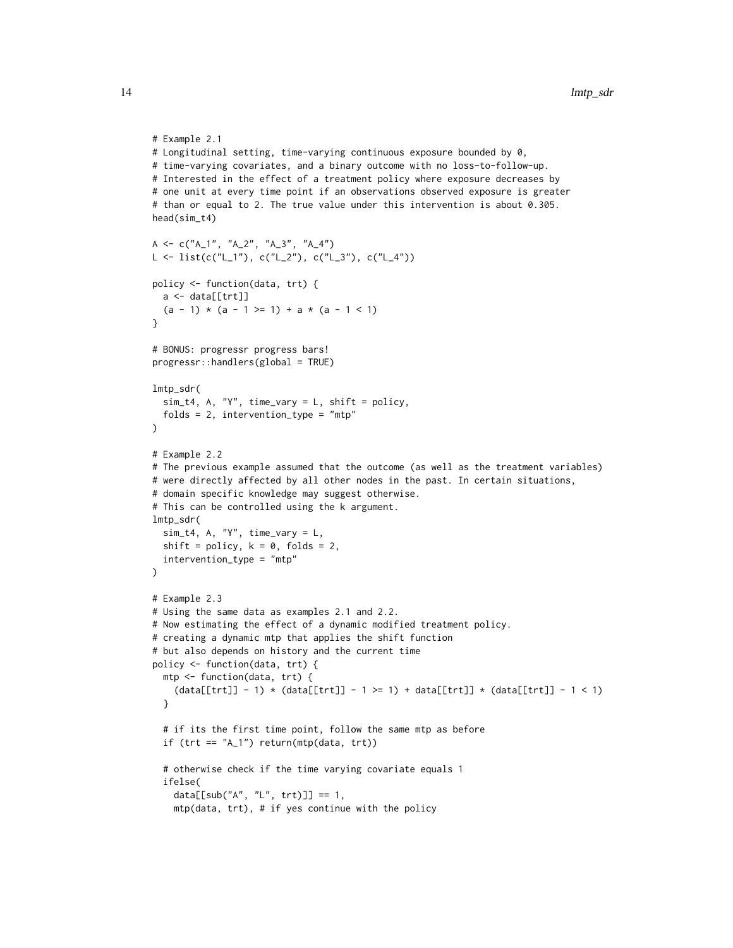```
# Example 2.1
# Longitudinal setting, time-varying continuous exposure bounded by 0,
# time-varying covariates, and a binary outcome with no loss-to-follow-up.
# Interested in the effect of a treatment policy where exposure decreases by
# one unit at every time point if an observations observed exposure is greater
# than or equal to 2. The true value under this intervention is about 0.305.
head(sim_t4)
A \leq c("A_1", "A_2", "A_3", "A_4")L <- list(c("L_1"), c("L_2"), c("L_3"), c("L_4"))
policy <- function(data, trt) {
 a <- data[[trt]]
  (a - 1) * (a - 1) = 1 + a * (a - 1)}
# BONUS: progressr progress bars!
progressr::handlers(global = TRUE)
lmtp_sdr(
 sim_t4, A, "Y", time_vary = L, shift = policy,
 folds = 2, intervention_type = "mtp")
# Example 2.2
# The previous example assumed that the outcome (as well as the treatment variables)
# were directly affected by all other nodes in the past. In certain situations,
# domain specific knowledge may suggest otherwise.
# This can be controlled using the k argument.
lmtp_sdr(
  sim\_t4, A, "Y", time_vary = L,
  shift = policy, k = 0, folds = 2,
  intervention_type = "mtp"
\lambda# Example 2.3
# Using the same data as examples 2.1 and 2.2.
# Now estimating the effect of a dynamic modified treatment policy.
# creating a dynamic mtp that applies the shift function
# but also depends on history and the current time
policy <- function(data, trt) {
  mtp <- function(data, trt) {
    (data[[trt]] - 1) * (data[[trt]] - 1 >= 1) + data[[trt]] * (data[[trt]] - 1 < 1)}
  # if its the first time point, follow the same mtp as before
  if (tr = "A_1") return(mtp(data, trt))
  # otherwise check if the time varying covariate equals 1
  ifelse(
    data[[sub("A", "L", trt)]] == 1,
    mtp(data, trt), # if yes continue with the policy
```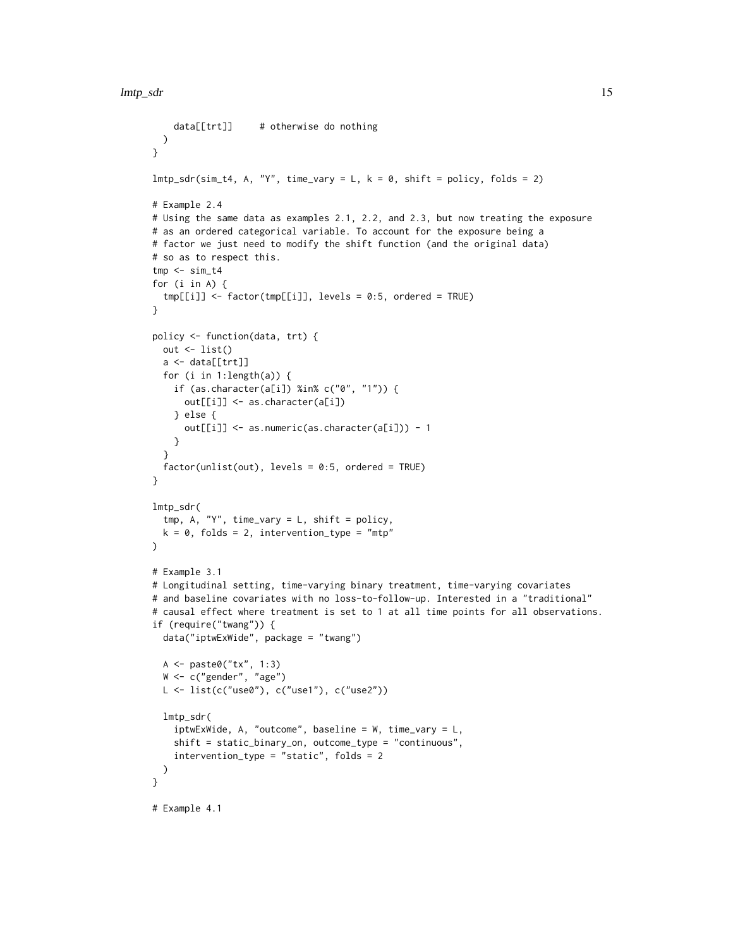```
data[[trt]] # otherwise do nothing
 )
}
lmtp_sdr(sim_t4, A, "Y", time_vary = L, k = 0, shift = policy, folds = 2)# Example 2.4
# Using the same data as examples 2.1, 2.2, and 2.3, but now treating the exposure
# as an ordered categorical variable. To account for the exposure being a
# factor we just need to modify the shift function (and the original data)
# so as to respect this.
tmp < - sim_t4for (i in A) {
  tmp[[i]] <- factor(tmp[[i]], levels = 0:5, ordered = TRUE)
}
policy <- function(data, trt) {
 out \leftarrow list()
 a <- data[[trt]]
 for (i in 1:length(a)) {
    if (as.character(a[i]) %in% c("0", "1")) {
     out[[i]] <- as.character(a[i])
    } else {
      out[[i]] <- as.numeric(as.character(a[i])) - 1
    }
  }
  factor(unlist(out), levels = 0:5, ordered = TRUE)}
lmtp_sdr(
 tmp, A, "Y", time_vary = L, shift = policy,
 k = 0, folds = 2, intervention_type = "mtp"
\lambda# Example 3.1
# Longitudinal setting, time-varying binary treatment, time-varying covariates
# and baseline covariates with no loss-to-follow-up. Interested in a "traditional"
# causal effect where treatment is set to 1 at all time points for all observations.
if (require("twang")) {
  data("iptwExWide", package = "twang")
 A <- paste0("tx", 1:3)
  W <- c("gender", "age")
 L <- list(c("use0"), c("use1"), c("use2"))
  lmtp_sdr(
    iptwExWide, A, "outcome", baseline = W, time_vary = L,
    shift = static_binary_on, outcome_type = "continuous",
    intervention_type = "static", folds = 2
 \lambda}
# Example 4.1
```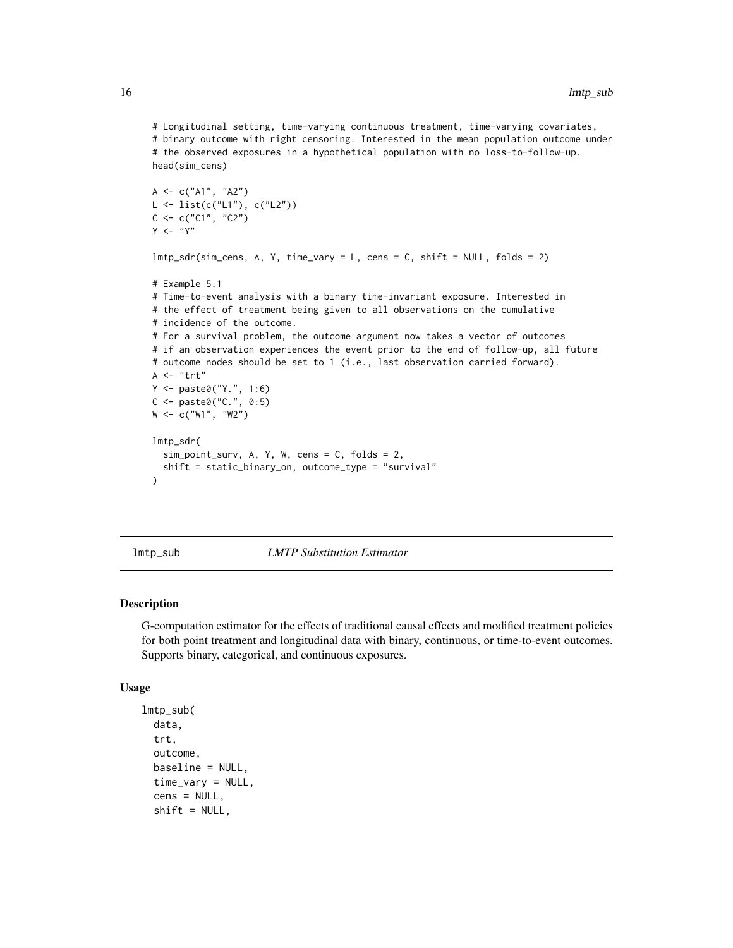```
# Longitudinal setting, time-varying continuous treatment, time-varying covariates,
# binary outcome with right censoring. Interested in the mean population outcome under
# the observed exposures in a hypothetical population with no loss-to-follow-up.
head(sim_cens)
A <- c("A1", "A2")
L <- list(c("L1"), c("L2"))
C < -c("C1", "C2")Y < - "Y"
lmtp_sdr(sim_cens, A, Y, time_vary = L, cens = C, shift = NULL, folds = 2)
# Example 5.1
# Time-to-event analysis with a binary time-invariant exposure. Interested in
# the effect of treatment being given to all observations on the cumulative
# incidence of the outcome.
# For a survival problem, the outcome argument now takes a vector of outcomes
# if an observation experiences the event prior to the end of follow-up, all future
# outcome nodes should be set to 1 (i.e., last observation carried forward).
A \leq - "trt"
Y <- paste0("Y.", 1:6)
C <- paste0("C.", 0:5)
W <- c("W1", "W2")
lmtp_sdr(
  sim_point_surv, A, Y, W, cens = C, folds = 2,
  shift = static_binary_on, outcome_type = "survival"
)
```
<span id="page-15-1"></span>lmtp\_sub *LMTP Substitution Estimator*

#### Description

G-computation estimator for the effects of traditional causal effects and modified treatment policies for both point treatment and longitudinal data with binary, continuous, or time-to-event outcomes. Supports binary, categorical, and continuous exposures.

## Usage

```
lmtp_sub(
  data,
  trt,
  outcome,
  baseline = NULL,
  time_vary = NULL,
  cens = NULL,
  shift = NULL,
```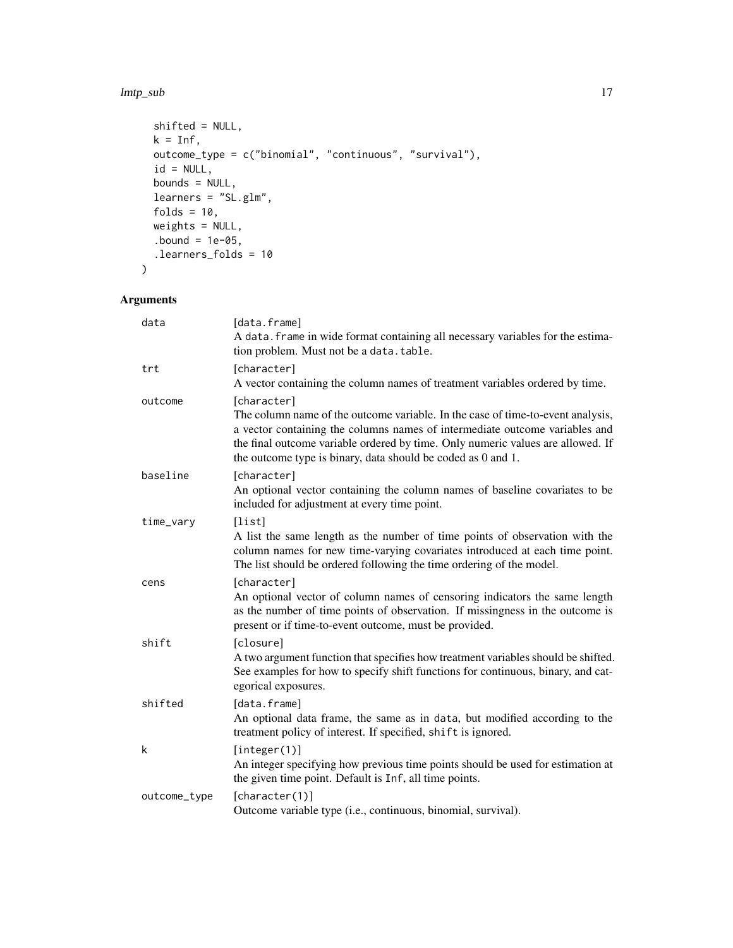#### lmtp\_sub 17

```
shifted = NULL,
 k = Inf,outcome_type = c("binomial", "continuous", "survival"),
 id = NULL,bounds = NULL,
 learners = "SL.glm",
 folds = 10,
 weights = NULL,
 .bound = 1e-05,
 .learners_folds = 10
)
```

| data         | [data.frame]<br>A data. frame in wide format containing all necessary variables for the estima-<br>tion problem. Must not be a data. table.                                                                                                                                                                                      |
|--------------|----------------------------------------------------------------------------------------------------------------------------------------------------------------------------------------------------------------------------------------------------------------------------------------------------------------------------------|
| trt          | [character]<br>A vector containing the column names of treatment variables ordered by time.                                                                                                                                                                                                                                      |
| outcome      | [character]<br>The column name of the outcome variable. In the case of time-to-event analysis,<br>a vector containing the columns names of intermediate outcome variables and<br>the final outcome variable ordered by time. Only numeric values are allowed. If<br>the outcome type is binary, data should be coded as 0 and 1. |
| baseline     | [character]<br>An optional vector containing the column names of baseline covariates to be<br>included for adjustment at every time point.                                                                                                                                                                                       |
| time_vary    | [list]<br>A list the same length as the number of time points of observation with the<br>column names for new time-varying covariates introduced at each time point.<br>The list should be ordered following the time ordering of the model.                                                                                     |
| cens         | [character]<br>An optional vector of column names of censoring indicators the same length<br>as the number of time points of observation. If missingness in the outcome is<br>present or if time-to-event outcome, must be provided.                                                                                             |
| shift        | [closure]<br>A two argument function that specifies how treatment variables should be shifted.<br>See examples for how to specify shift functions for continuous, binary, and cat-<br>egorical exposures.                                                                                                                        |
| shifted      | [data.frame]<br>An optional data frame, the same as in data, but modified according to the<br>treatment policy of interest. If specified, shift is ignored.                                                                                                                                                                      |
| k            | [integer(1)]<br>An integer specifying how previous time points should be used for estimation at<br>the given time point. Default is Inf, all time points.                                                                                                                                                                        |
| outcome_type | [character(1)]<br>Outcome variable type (i.e., continuous, binomial, survival).                                                                                                                                                                                                                                                  |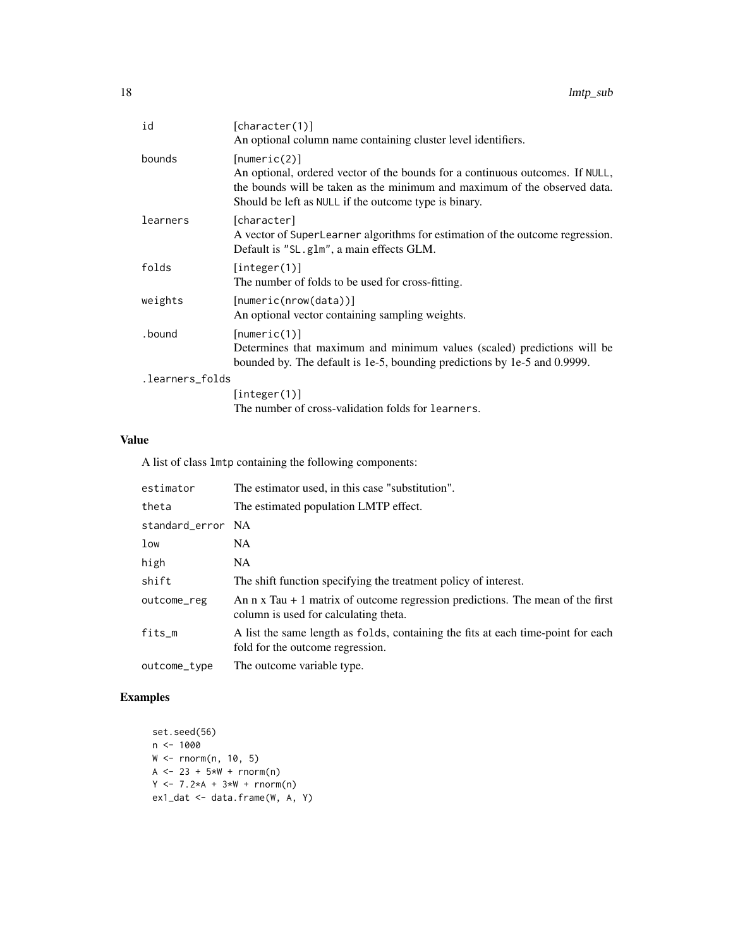| id              | [character(1)]<br>An optional column name containing cluster level identifiers.                                                                                                                                                     |
|-----------------|-------------------------------------------------------------------------------------------------------------------------------------------------------------------------------------------------------------------------------------|
| bounds          | [numeric(2)]<br>An optional, ordered vector of the bounds for a continuous outcomes. If NULL,<br>the bounds will be taken as the minimum and maximum of the observed data.<br>Should be left as NULL if the outcome type is binary. |
| learners        | [character]<br>A vector of SuperLearner algorithms for estimation of the outcome regression.<br>Default is "SL.glm", a main effects GLM.                                                                                            |
| folds           | [integer(1)]<br>The number of folds to be used for cross-fitting.                                                                                                                                                                   |
| weights         | [numeric(nrow(data))]<br>An optional vector containing sampling weights.                                                                                                                                                            |
| . bound         | [numeric(1)]<br>Determines that maximum and minimum values (scaled) predictions will be<br>bounded by. The default is 1e-5, bounding predictions by 1e-5 and 0.9999.                                                                |
| .learners_folds |                                                                                                                                                                                                                                     |
|                 | [integer(1)]                                                                                                                                                                                                                        |
|                 | The number of cross-validation folds for learners.                                                                                                                                                                                  |

## Value

A list of class lmtp containing the following components:

| estimator         | The estimator used, in this case "substitution".                                                                                |
|-------------------|---------------------------------------------------------------------------------------------------------------------------------|
| theta             | The estimated population LMTP effect.                                                                                           |
| standard_error NA |                                                                                                                                 |
| low               | NA.                                                                                                                             |
| high              | NA.                                                                                                                             |
| shift             | The shift function specifying the treatment policy of interest.                                                                 |
| outcome_reg       | An $n \times T$ au + 1 matrix of outcome regression predictions. The mean of the first<br>column is used for calculating theta. |
| fits_m            | A list the same length as folds, containing the fits at each time-point for each<br>fold for the outcome regression.            |
| outcome_type      | The outcome variable type.                                                                                                      |

```
set.seed(56)
n < -1000W <- rnorm(n, 10, 5)
A <- 23 + 5*N + rnorm(n)Y \le -7.2*A + 3*W + rnorm(n)ex1_dat <- data.frame(W, A, Y)
```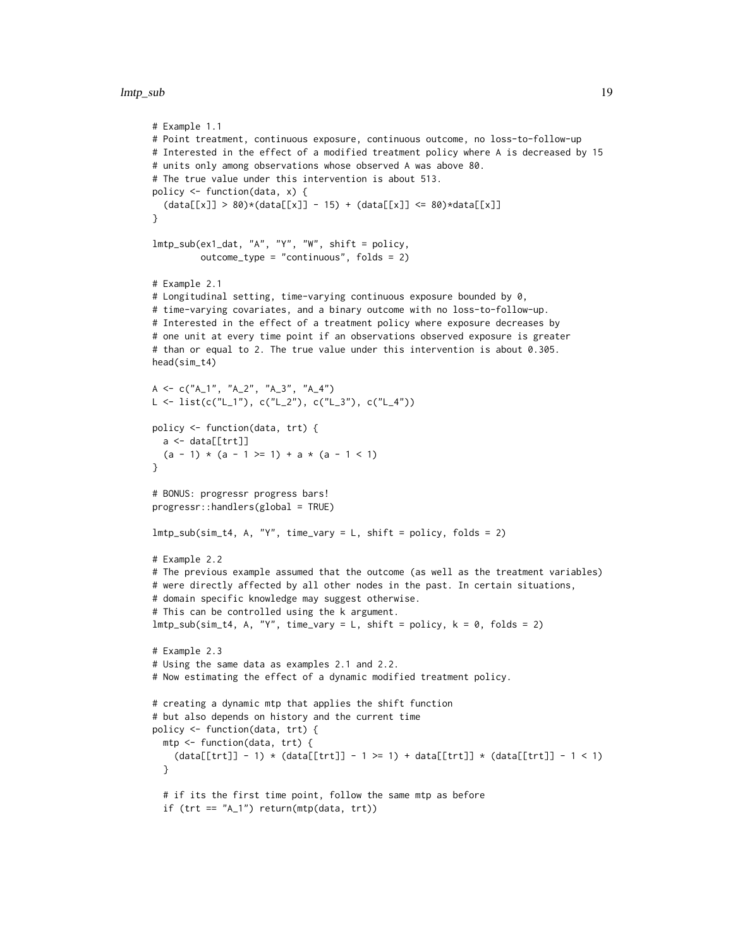```
# Example 1.1
# Point treatment, continuous exposure, continuous outcome, no loss-to-follow-up
# Interested in the effect of a modified treatment policy where A is decreased by 15
# units only among observations whose observed A was above 80.
# The true value under this intervention is about 513.
policy <- function(data, x) {
  (data[[x]] > 80)*(data[[x]] - 15) + (data[[x]] \le 80)*data[[x]]}
lmtp_sub(ex1_dat, "A", "Y", "W", shift = policy,
         outcome_type = "continuous", folds = 2)
# Example 2.1
# Longitudinal setting, time-varying continuous exposure bounded by 0,
# time-varying covariates, and a binary outcome with no loss-to-follow-up.
# Interested in the effect of a treatment policy where exposure decreases by
# one unit at every time point if an observations observed exposure is greater
# than or equal to 2. The true value under this intervention is about 0.305.
head(sim_t4)
A \leq C("A_1", "A_2", "A_3", "A_4")L \leftarrow list(c("L_1"), c("L_2"), c("L_3"), c("L_4")policy <- function(data, trt) {
 a <- data[[trt]]
  (a - 1) * (a - 1) = 1) + a * (a - 1)\lambda# BONUS: progressr progress bars!
progressr::handlers(global = TRUE)
lmtp\_sub(sim_t4, A, "Y", time\_vary = L, shift = policy, folds = 2)# Example 2.2
# The previous example assumed that the outcome (as well as the treatment variables)
# were directly affected by all other nodes in the past. In certain situations,
# domain specific knowledge may suggest otherwise.
# This can be controlled using the k argument.
lmtp\_sub(sim_t4, A, "Y", time\_vary = L, shift = policy, k = 0, folds = 2)# Example 2.3
# Using the same data as examples 2.1 and 2.2.
# Now estimating the effect of a dynamic modified treatment policy.
# creating a dynamic mtp that applies the shift function
# but also depends on history and the current time
policy <- function(data, trt) {
  mtp <- function(data, trt) {
    (data[[trt]] - 1) * (data[[trt]] - 1 >= 1) + data[[trt]] * (data[[trt]] - 1 < 1)}
  # if its the first time point, follow the same mtp as before
  if (\text{tr } t == "A_1") return(\text{mtp}(data, \text{ trt}))
```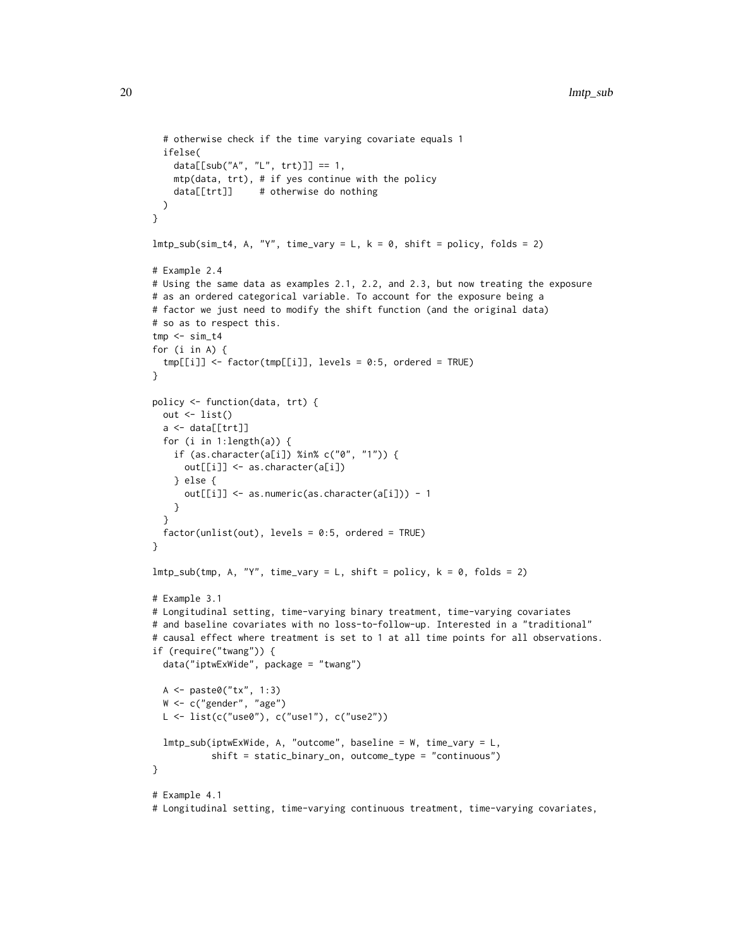```
# otherwise check if the time varying covariate equals 1
  ifelse(
    data[[sub("A", "L", trt)]] == 1,mtp(data, trt), # if yes continue with the policy
    data[[trt]] # otherwise do nothing
 )
}
lmtp\_sub(sim_t4, A, "Y", time\_vary = L, k = 0, shift = policy, folds = 2)# Example 2.4
# Using the same data as examples 2.1, 2.2, and 2.3, but now treating the exposure
# as an ordered categorical variable. To account for the exposure being a
# factor we just need to modify the shift function (and the original data)
# so as to respect this.
tmp < - sim_t4for (i in A) {
  tmp[[i]] \leftarrow factor(tmp[[i]], levels = 0:5, ordered = TRUE)}
policy <- function(data, trt) {
 out \leftarrow list()
  a \leftarrow data[[trt]]
 for (i in 1:length(a)) {
   if (as.character(a[i]) %in% c("0", "1")) {
      out[[i]] <- as.character(a[i])
    } else {
      out[[i]] <- as.numeric(as.character(a[i])) - 1
    }
  }
  factor(unlist(out), levels = 0:5, ordered = TRUE)}
lmtp\_sub(tmp, A, "Y", time\_vary = L, shift = policy, k = 0, folds = 2)# Example 3.1
# Longitudinal setting, time-varying binary treatment, time-varying covariates
# and baseline covariates with no loss-to-follow-up. Interested in a "traditional"
# causal effect where treatment is set to 1 at all time points for all observations.
if (require("twang")) {
 data("iptwExWide", package = "twang")
 A <- paste0("tx", 1:3)
  W <- c("gender", "age")
 L \leftarrow list(c("use0"), c("use1"), c("use2"))
  lmtp_sub(iptwExWide, A, "outcome", baseline = W, time_vary = L,
           shift = static_binary_on, outcome_type = "continuous")
}
# Example 4.1
```
# Longitudinal setting, time-varying continuous treatment, time-varying covariates,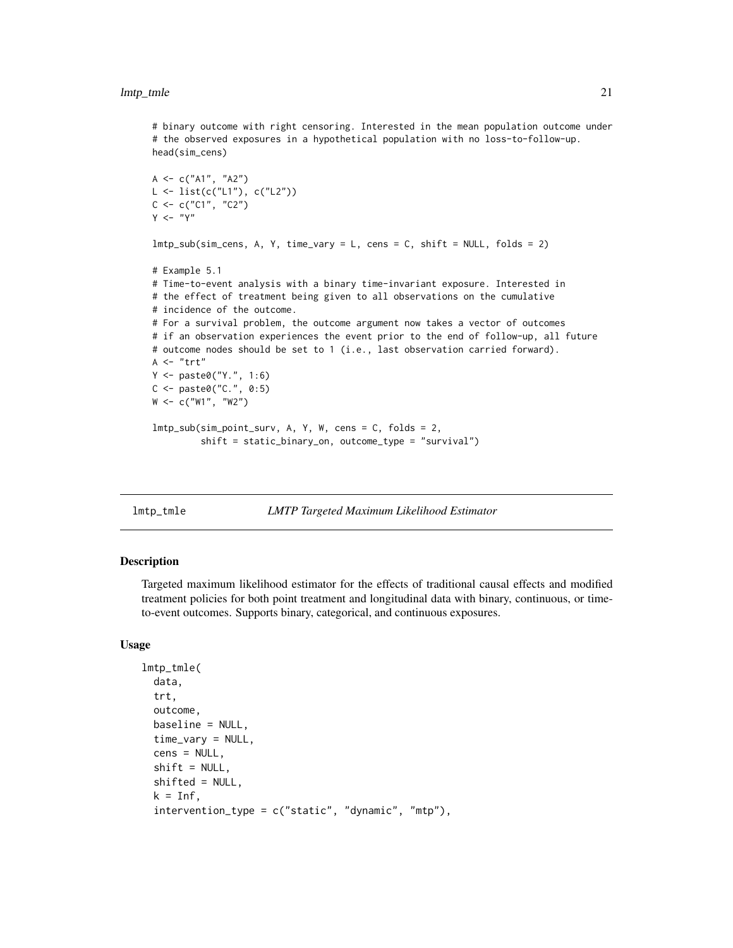<span id="page-20-0"></span># binary outcome with right censoring. Interested in the mean population outcome under # the observed exposures in a hypothetical population with no loss-to-follow-up. head(sim\_cens)

```
A \leq C("A1", "A2")L <- list(c("L1"), c("L2"))
C \leq -c("C1", "C2")Y < - "Y"
lmtp_sub(sim_cens, A, Y, time_vary = L, cens = C, shift = NULL, folds = 2)
# Example 5.1
# Time-to-event analysis with a binary time-invariant exposure. Interested in
# the effect of treatment being given to all observations on the cumulative
# incidence of the outcome.
# For a survival problem, the outcome argument now takes a vector of outcomes
# if an observation experiences the event prior to the end of follow-up, all future
# outcome nodes should be set to 1 (i.e., last observation carried forward).
A \leq "trt"
Y <- paste0("Y.", 1:6)
C <- paste0("C.", 0:5)
W <- c("W1", "W2")
lmtp_sub(sim_point_surv, A, Y, W, cens = C, folds = 2,
         shift = static_binary_on, outcome_type = "survival")
```
<span id="page-20-1"></span>lmtp\_tmle *LMTP Targeted Maximum Likelihood Estimator*

## **Description**

Targeted maximum likelihood estimator for the effects of traditional causal effects and modified treatment policies for both point treatment and longitudinal data with binary, continuous, or timeto-event outcomes. Supports binary, categorical, and continuous exposures.

## Usage

```
lmtp_tmle(
  data,
  trt,
  outcome,
  baseline = NULL,
  time_vary = NULL,
  cens = NULL,
  shift = NULL,shifted = NULL,
  k = Inf,
  intervention_type = c("static", "dynamic", "mtp"),
```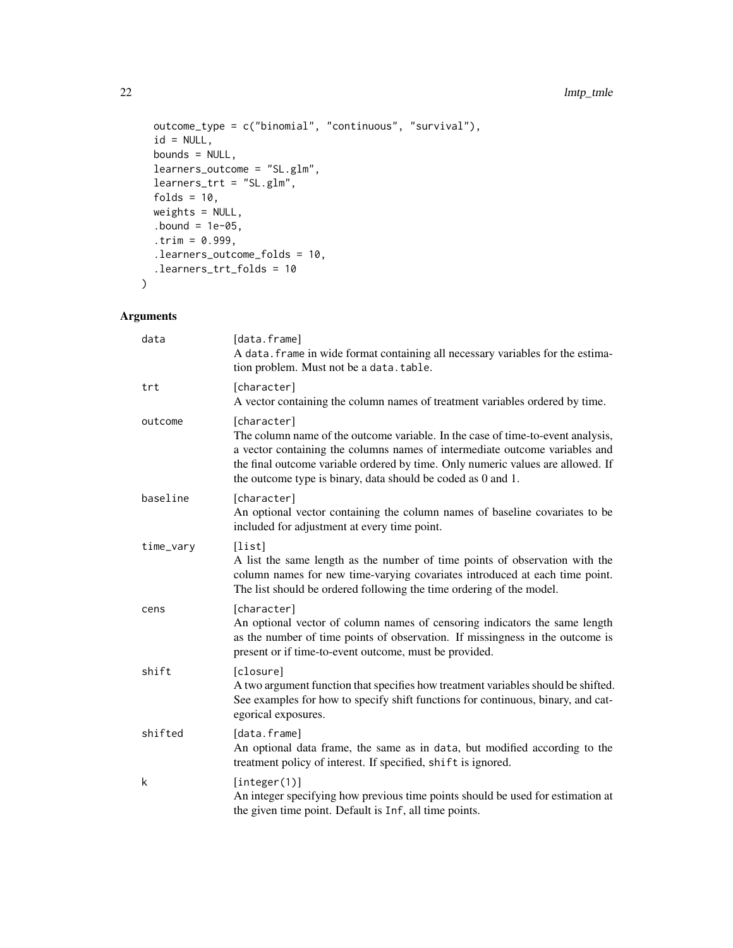## 22 lmtp\_tmle

```
outcome_type = c("binomial", "continuous", "survival"),
  id = NULL,bounds = NULL,
 learners_outcome = "SL.glm",
 learners_trt = "SL.glm",
 folds = 10,
 weights = NULL,
  bound = 1e-05,
  .trim = 0.999,
 .learners_outcome_folds = 10,
 .learners_trt_folds = 10
\mathcal{L}
```

| data      | [data.frame]<br>A data. frame in wide format containing all necessary variables for the estima-<br>tion problem. Must not be a data.table.                                                                                                                                                                                       |
|-----------|----------------------------------------------------------------------------------------------------------------------------------------------------------------------------------------------------------------------------------------------------------------------------------------------------------------------------------|
| trt       | [character]<br>A vector containing the column names of treatment variables ordered by time.                                                                                                                                                                                                                                      |
| outcome   | [character]<br>The column name of the outcome variable. In the case of time-to-event analysis,<br>a vector containing the columns names of intermediate outcome variables and<br>the final outcome variable ordered by time. Only numeric values are allowed. If<br>the outcome type is binary, data should be coded as 0 and 1. |
| baseline  | [character]<br>An optional vector containing the column names of baseline covariates to be<br>included for adjustment at every time point.                                                                                                                                                                                       |
| time_vary | [list]<br>A list the same length as the number of time points of observation with the<br>column names for new time-varying covariates introduced at each time point.<br>The list should be ordered following the time ordering of the model.                                                                                     |
| cens      | [character]<br>An optional vector of column names of censoring indicators the same length<br>as the number of time points of observation. If missingness in the outcome is<br>present or if time-to-event outcome, must be provided.                                                                                             |
| shift     | [closure]<br>A two argument function that specifies how treatment variables should be shifted.<br>See examples for how to specify shift functions for continuous, binary, and cat-<br>egorical exposures.                                                                                                                        |
| shifted   | [data.frame]<br>An optional data frame, the same as in data, but modified according to the<br>treatment policy of interest. If specified, shift is ignored.                                                                                                                                                                      |
| k         | [integer(1)]<br>An integer specifying how previous time points should be used for estimation at<br>the given time point. Default is Inf, all time points.                                                                                                                                                                        |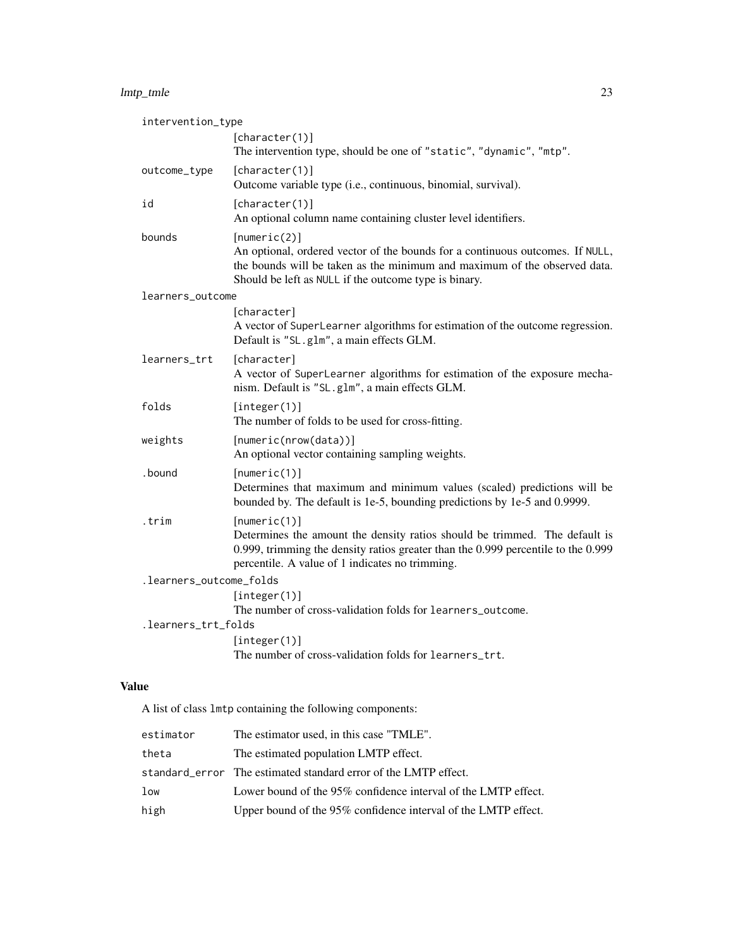## lmtp\_tmle 23

| intervention_type       |                                                                                                                                                                                                                                     |
|-------------------------|-------------------------------------------------------------------------------------------------------------------------------------------------------------------------------------------------------------------------------------|
|                         | [character(1)]<br>The intervention type, should be one of "static", "dynamic", "mtp".                                                                                                                                               |
| outcome_type            | [character(1)]<br>Outcome variable type (i.e., continuous, binomial, survival).                                                                                                                                                     |
| id                      | [character(1)]<br>An optional column name containing cluster level identifiers.                                                                                                                                                     |
| bounds                  | [numeric(2)]<br>An optional, ordered vector of the bounds for a continuous outcomes. If NULL,<br>the bounds will be taken as the minimum and maximum of the observed data.<br>Should be left as NULL if the outcome type is binary. |
| learners_outcome        |                                                                                                                                                                                                                                     |
|                         | [character]<br>A vector of SuperLearner algorithms for estimation of the outcome regression.<br>Default is "SL.glm", a main effects GLM.                                                                                            |
| learners_trt            | [character]<br>A vector of SuperLearner algorithms for estimation of the exposure mecha-<br>nism. Default is "SL.glm", a main effects GLM.                                                                                          |
| folds                   | [integer(1)]<br>The number of folds to be used for cross-fitting.                                                                                                                                                                   |
| weights                 | [numeric(nrow(data))]<br>An optional vector containing sampling weights.                                                                                                                                                            |
| .bound                  | [numeric(1)]<br>Determines that maximum and minimum values (scaled) predictions will be<br>bounded by. The default is 1e-5, bounding predictions by 1e-5 and 0.9999.                                                                |
| .trim                   | [numeric(1)]<br>Determines the amount the density ratios should be trimmed. The default is<br>0.999, trimming the density ratios greater than the 0.999 percentile to the 0.999<br>percentile. A value of 1 indicates no trimming.  |
| .learners_outcome_folds |                                                                                                                                                                                                                                     |
|                         | [integer(1)]<br>The number of cross-validation folds for learners_outcome.                                                                                                                                                          |
| .learners_trt_folds     |                                                                                                                                                                                                                                     |
|                         | [integer(1)]<br>The number of cross-validation folds for learners_trt.                                                                                                                                                              |

## Value

A list of class lmtp containing the following components:

| estimator | The estimator used, in this case "TMLE".                        |
|-----------|-----------------------------------------------------------------|
| theta     | The estimated population LMTP effect.                           |
|           | standard_error The estimated standard error of the LMTP effect. |
| low       | Lower bound of the 95% confidence interval of the LMTP effect.  |
| high      | Upper bound of the 95% confidence interval of the LMTP effect.  |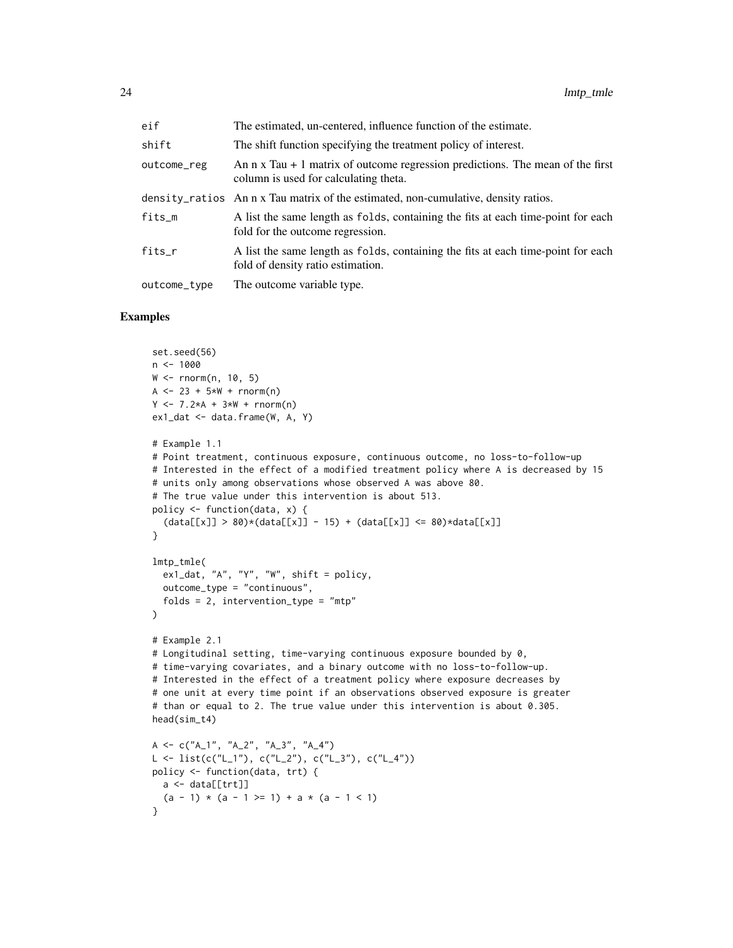| eif          | The estimated, un-centered, influence function of the estimate.                                                                 |
|--------------|---------------------------------------------------------------------------------------------------------------------------------|
| shift        | The shift function specifying the treatment policy of interest.                                                                 |
| outcome_reg  | An $n \times T$ au + 1 matrix of outcome regression predictions. The mean of the first<br>column is used for calculating theta. |
|              | density_ratios An n x Tau matrix of the estimated, non-cumulative, density ratios.                                              |
| fits_m       | A list the same length as folds, containing the fits at each time-point for each<br>fold for the outcome regression.            |
| fits_r       | A list the same length as folds, containing the fits at each time-point for each<br>fold of density ratio estimation.           |
| outcome_type | The outcome variable type.                                                                                                      |

```
set.seed(56)
n < - 1000W <- rnorm(n, 10, 5)
A \le -23 + 5*N + rnorm(n)Y \le -7.2*A + 3*W + rnorm(n)ex1_dat <- data.frame(W, A, Y)
# Example 1.1
# Point treatment, continuous exposure, continuous outcome, no loss-to-follow-up
# Interested in the effect of a modified treatment policy where A is decreased by 15
# units only among observations whose observed A was above 80.
# The true value under this intervention is about 513.
policy <- function(data, x) {
  (data[[x]] > 80)*(data[[x]] - 15) + (data[[x]] <= 80)*data[[x]]}
lmtp_tmle(
 ex1_dat, "A", "Y", "W", shift = policy,
  outcome_type = "continuous",
 folds = 2, intervention_type = mtp"
)
# Example 2.1
# Longitudinal setting, time-varying continuous exposure bounded by 0,
# time-varying covariates, and a binary outcome with no loss-to-follow-up.
# Interested in the effect of a treatment policy where exposure decreases by
# one unit at every time point if an observations observed exposure is greater
# than or equal to 2. The true value under this intervention is about 0.305.
head(sim_t4)
A <- c("A_1", "A_2", "A_3", "A_4")
L \leftarrow list(c("L_1"), c("L_2"), c("L_3"), c("L_4")policy <- function(data, trt) {
 a <- data[[trt]]
  (a - 1) * (a - 1) = 1) + a * (a - 1)}
```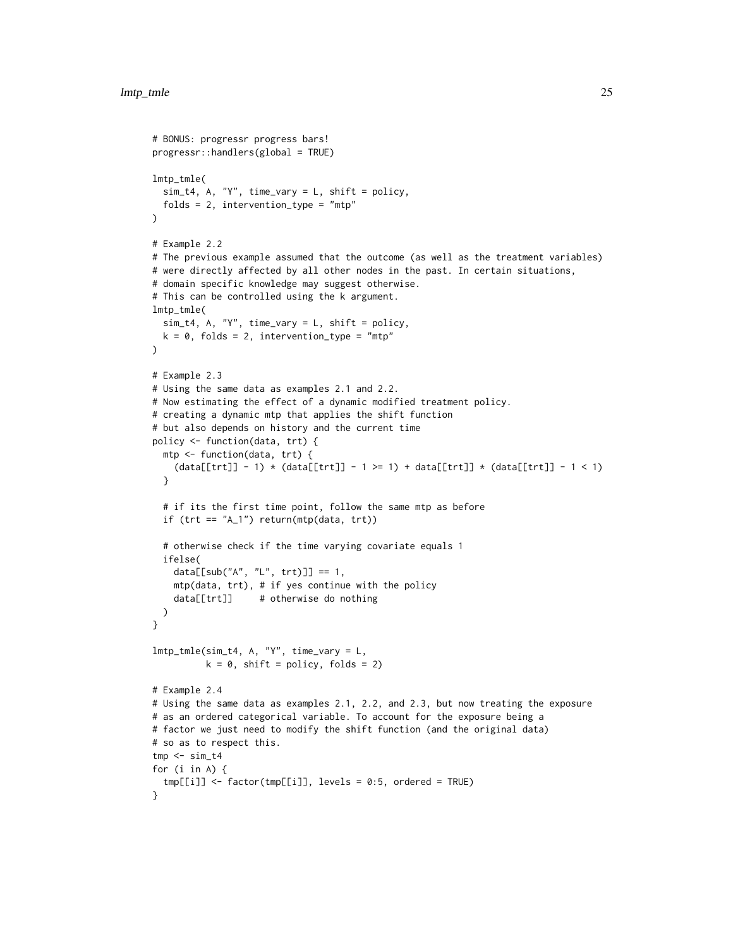```
# BONUS: progressr progress bars!
progressr::handlers(global = TRUE)
lmtp_tmle(
 sim_t4, A, "Y", time_vary = L, shift = policy,
 folds = 2, intervention_type = "mtp"
\lambda# Example 2.2
# The previous example assumed that the outcome (as well as the treatment variables)
# were directly affected by all other nodes in the past. In certain situations,
# domain specific knowledge may suggest otherwise.
# This can be controlled using the k argument.
lmtp_tmle(
  sim_t4, A, "Y", time_vary = L, shift = policy,
 k = 0, folds = 2, intervention_type = "mtp"
\lambda# Example 2.3
# Using the same data as examples 2.1 and 2.2.
# Now estimating the effect of a dynamic modified treatment policy.
# creating a dynamic mtp that applies the shift function
# but also depends on history and the current time
policy <- function(data, trt) {
  mtp <- function(data, trt) {
    (data[[trt]] - 1) * (data[[trt]] - 1 >= 1) + data[[trt]] * (data[[trt]] - 1 < 1)}
  # if its the first time point, follow the same mtp as before
  if (\text{tr } t == "A_1") return(\text{mtp}(data, \text{ trt}))
  # otherwise check if the time varying covariate equals 1
  ifelse(
    data[[sub("A", "L", trt)]] == 1,mtp(data, trt), # if yes continue with the policy
    data[[trt]] # otherwise do nothing
 )
}
lmtp_tmle(sim_t4, A, "Y", time_vary = L,
          k = 0, shift = policy, folds = 2)
# Example 2.4
# Using the same data as examples 2.1, 2.2, and 2.3, but now treating the exposure
# as an ordered categorical variable. To account for the exposure being a
# factor we just need to modify the shift function (and the original data)
# so as to respect this.
tmp < - sim_t4for (i in A) {
 tmp[[i]] <- factor(tmp[[i]], levels = 0:5, ordered = TRUE)
}
```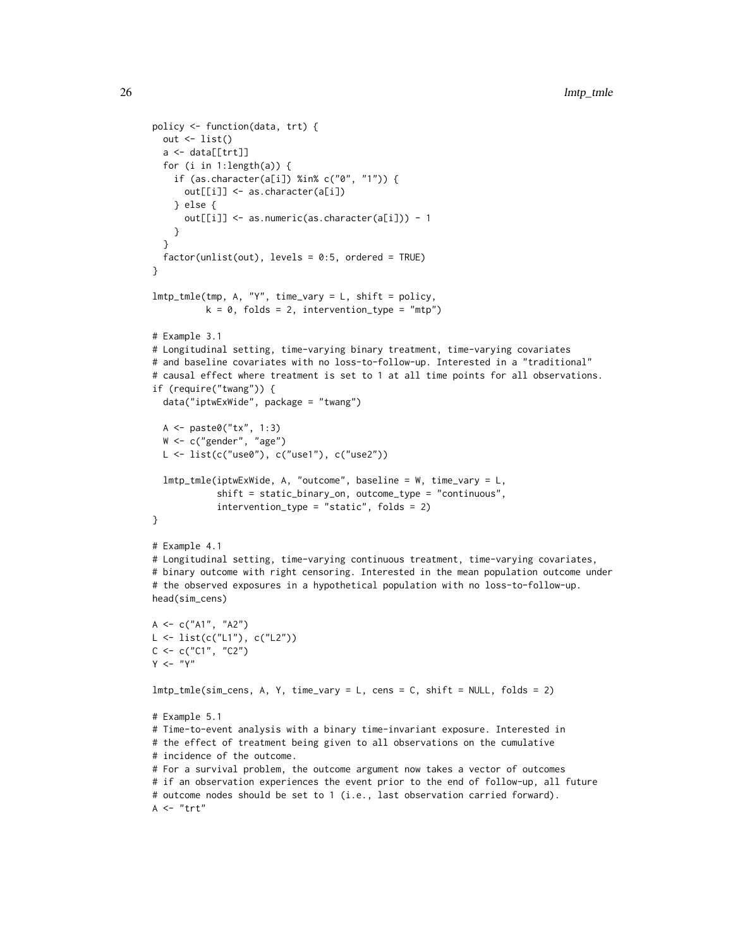```
policy <- function(data, trt) {
  out \leftarrow list()
  a \leftarrow data[[trt]]
  for (i in 1:length(a)) {
    if (as.character(a[i]) %in% c("0", "1")) {
      out[[i]] <- as.character(a[i])
    } else {
      out[[i]] <- as.numeric(as.character(a[i])) - 1
    }
  }
  factor(unlist(out), levels = 0:5, ordered = TRUE)
}
lmtp_tmle(tmp, A, "Y", time_vary = L, shift = policy,k = 0, folds = 2, intervention_type = "mtp")
# Example 3.1
# Longitudinal setting, time-varying binary treatment, time-varying covariates
# and baseline covariates with no loss-to-follow-up. Interested in a "traditional"
# causal effect where treatment is set to 1 at all time points for all observations.
if (require("twang")) {
  data("iptwExWide", package = "twang")
  A <- paste0("tx", 1:3)
  W <- c("gender", "age")
  L \leftarrow list(c("use0"), c("use1"), c("use2"))
  lmtp_tmle(iptwExWide, A, "outcome", baseline = W, time_vary = L,
            shift = static_binary_on, outcome_type = "continuous",
            intervention_type = "static", folds = 2)
}
# Example 4.1
# Longitudinal setting, time-varying continuous treatment, time-varying covariates,
# binary outcome with right censoring. Interested in the mean population outcome under
# the observed exposures in a hypothetical population with no loss-to-follow-up.
head(sim_cens)
A <- c("A1", "A2")
L \leftarrow list(c("L1"), c("L2"))
C \leq C ("C1", "C2")
Y < - "Y"
lmtp_tmle(sim_cens, A, Y, time_vary = L, cens = C, shift = NULL, folds = 2)
# Example 5.1
# Time-to-event analysis with a binary time-invariant exposure. Interested in
# the effect of treatment being given to all observations on the cumulative
# incidence of the outcome.
# For a survival problem, the outcome argument now takes a vector of outcomes
# if an observation experiences the event prior to the end of follow-up, all future
# outcome nodes should be set to 1 (i.e., last observation carried forward).
A \le - "trt"
```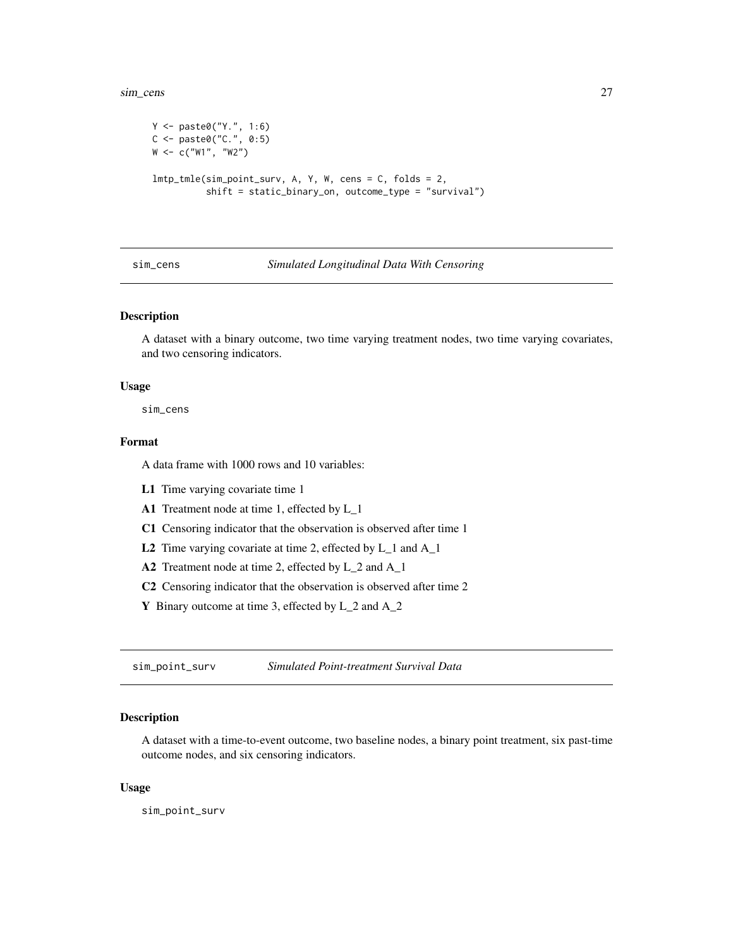<span id="page-26-0"></span>sim\_cens 27

```
Y <- paste0("Y.", 1:6)
C <- paste0("C.", 0:5)
W <- c("W1", "W2")
lmtp_tmle(sim_point_surv, A, Y, W, cens = C, folds = 2,
          shift = static_binary_on, outcome_type = "survival")
```
#### sim\_cens *Simulated Longitudinal Data With Censoring*

## Description

A dataset with a binary outcome, two time varying treatment nodes, two time varying covariates, and two censoring indicators.

#### Usage

sim\_cens

## Format

A data frame with 1000 rows and 10 variables:

- L1 Time varying covariate time 1
- A1 Treatment node at time 1, effected by L\_1
- C1 Censoring indicator that the observation is observed after time 1
- L2 Time varying covariate at time 2, effected by L\_1 and A\_1
- A2 Treatment node at time 2, effected by L\_2 and A\_1
- C2 Censoring indicator that the observation is observed after time 2
- Y Binary outcome at time 3, effected by L\_2 and A\_2

sim\_point\_surv *Simulated Point-treatment Survival Data*

## Description

A dataset with a time-to-event outcome, two baseline nodes, a binary point treatment, six past-time outcome nodes, and six censoring indicators.

### Usage

sim\_point\_surv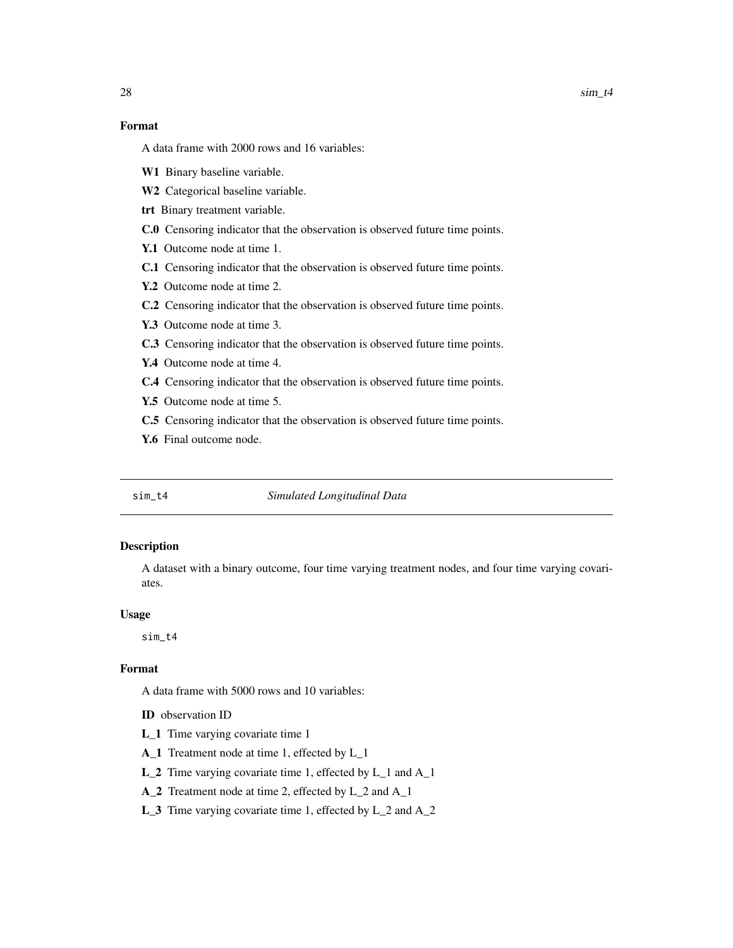## <span id="page-27-0"></span>Format

A data frame with 2000 rows and 16 variables:

- W1 Binary baseline variable.
- W2 Categorical baseline variable.
- trt Binary treatment variable.
- C.0 Censoring indicator that the observation is observed future time points.
- Y.1 Outcome node at time 1.
- C.1 Censoring indicator that the observation is observed future time points.
- Y.2 Outcome node at time 2.
- C.2 Censoring indicator that the observation is observed future time points.
- Y.3 Outcome node at time 3.
- C.3 Censoring indicator that the observation is observed future time points.
- Y.4 Outcome node at time 4.
- C.4 Censoring indicator that the observation is observed future time points.
- Y.5 Outcome node at time 5.
- C.5 Censoring indicator that the observation is observed future time points.
- Y.6 Final outcome node.

#### sim\_t4 *Simulated Longitudinal Data*

#### Description

A dataset with a binary outcome, four time varying treatment nodes, and four time varying covariates.

#### Usage

sim\_t4

## Format

A data frame with 5000 rows and 10 variables:

ID observation ID

- L\_1 Time varying covariate time 1
- A\_1 Treatment node at time 1, effected by L\_1
- L\_2 Time varying covariate time 1, effected by L\_1 and A\_1
- A\_2 Treatment node at time 2, effected by L\_2 and A\_1
- L\_3 Time varying covariate time 1, effected by L\_2 and A\_2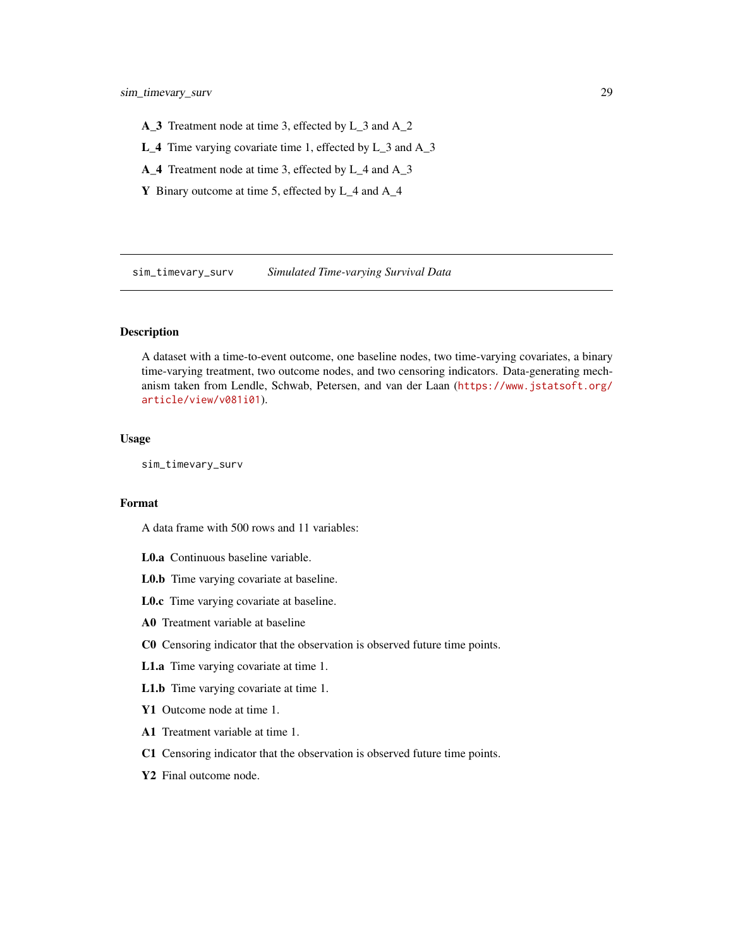- <span id="page-28-0"></span>A\_3 Treatment node at time 3, effected by L\_3 and A\_2
- L\_4 Time varying covariate time 1, effected by L\_3 and A\_3
- A\_4 Treatment node at time 3, effected by L\_4 and A\_3
- Y Binary outcome at time 5, effected by L\_4 and A\_4

sim\_timevary\_surv *Simulated Time-varying Survival Data*

#### Description

A dataset with a time-to-event outcome, one baseline nodes, two time-varying covariates, a binary time-varying treatment, two outcome nodes, and two censoring indicators. Data-generating mechanism taken from Lendle, Schwab, Petersen, and van der Laan ([https://www.jstatsoft.org/](https://www.jstatsoft.org/article/view/v081i01) [article/view/v081i01](https://www.jstatsoft.org/article/view/v081i01)).

## Usage

sim\_timevary\_surv

## Format

A data frame with 500 rows and 11 variables:

- L0.a Continuous baseline variable.
- L0.b Time varying covariate at baseline.
- L0.c Time varying covariate at baseline.
- A0 Treatment variable at baseline
- C0 Censoring indicator that the observation is observed future time points.
- L1.a Time varying covariate at time 1.
- L1.b Time varying covariate at time 1.
- Y1 Outcome node at time 1.
- A1 Treatment variable at time 1.
- C1 Censoring indicator that the observation is observed future time points.
- Y2 Final outcome node.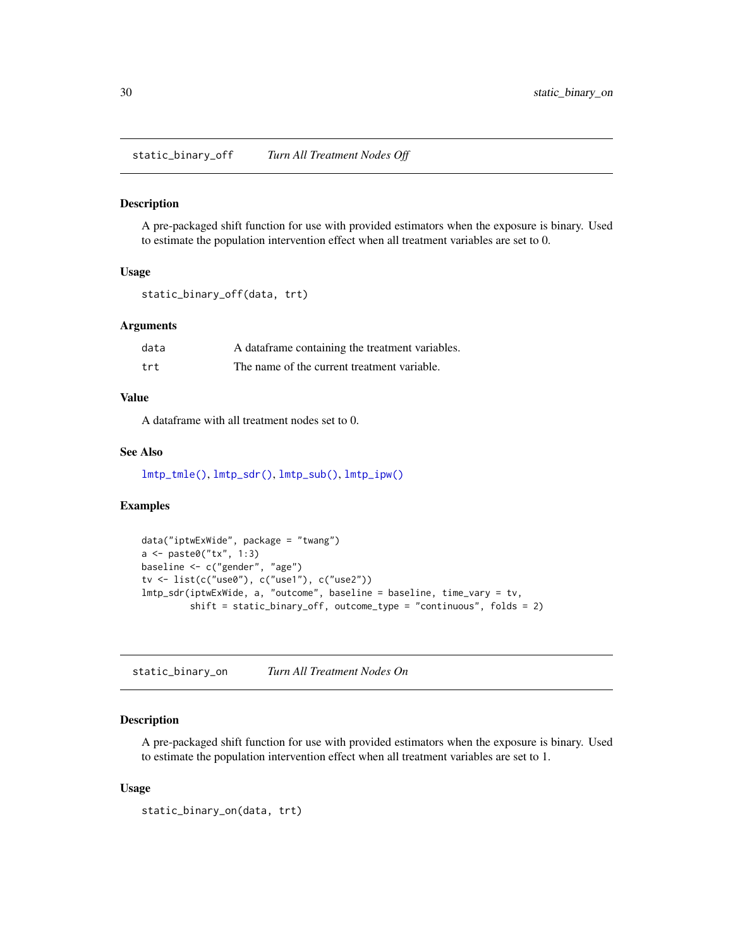<span id="page-29-0"></span>static\_binary\_off *Turn All Treatment Nodes Off*

## Description

A pre-packaged shift function for use with provided estimators when the exposure is binary. Used to estimate the population intervention effect when all treatment variables are set to 0.

#### Usage

```
static_binary_off(data, trt)
```
## Arguments

| data | A data frame containing the treatment variables. |
|------|--------------------------------------------------|
| trt  | The name of the current treatment variable.      |

## Value

A dataframe with all treatment nodes set to 0.

## See Also

[lmtp\\_tmle\(\)](#page-20-1), [lmtp\\_sdr\(\)](#page-9-1), [lmtp\\_sub\(\)](#page-15-1), [lmtp\\_ipw\(\)](#page-4-1)

## Examples

```
data("iptwExWide", package = "twang")
a <- paste0("tx", 1:3)
baseline <- c("gender", "age")
tv <- list(c("use0"), c("use1"), c("use2"))
lmtp_sdr(iptwExWide, a, "outcome", baseline = baseline, time_vary = tv,
         shift = static_binary_off, outcome_type = "continuous", folds = 2)
```
static\_binary\_on *Turn All Treatment Nodes On*

#### Description

A pre-packaged shift function for use with provided estimators when the exposure is binary. Used to estimate the population intervention effect when all treatment variables are set to 1.

### Usage

```
static_binary_on(data, trt)
```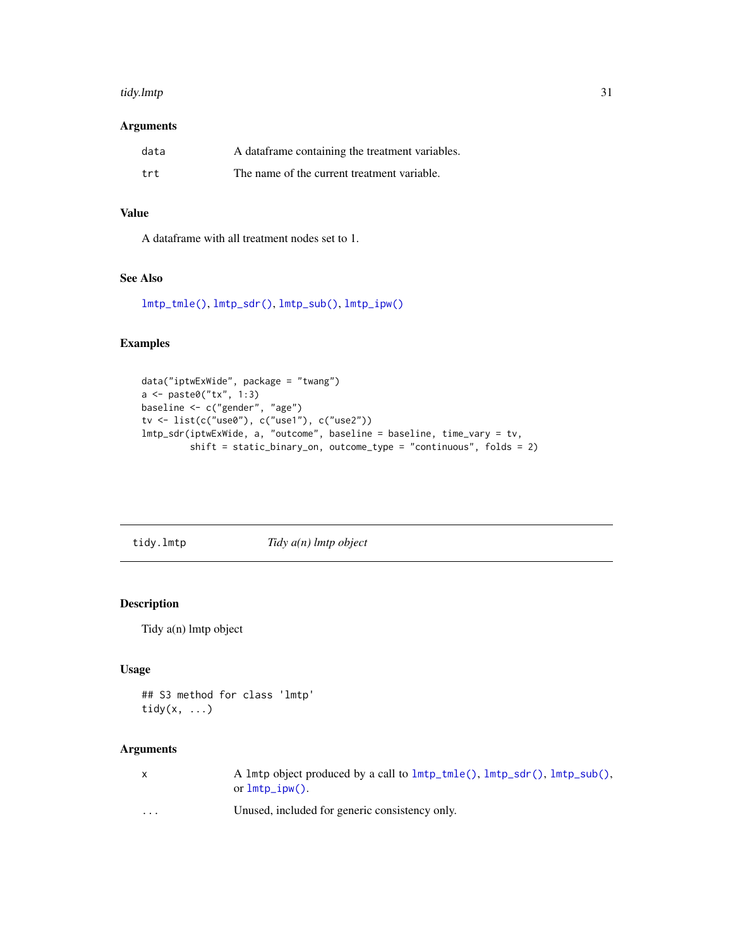#### <span id="page-30-0"></span>tidy.lmtp 31

## Arguments

| data | A dataframe containing the treatment variables. |
|------|-------------------------------------------------|
| trt  | The name of the current treatment variable.     |

## Value

A dataframe with all treatment nodes set to 1.

## See Also

[lmtp\\_tmle\(\)](#page-20-1), [lmtp\\_sdr\(\)](#page-9-1), [lmtp\\_sub\(\)](#page-15-1), [lmtp\\_ipw\(\)](#page-4-1)

## Examples

```
data("iptwExWide", package = "twang")
a <- paste0("tx", 1:3)
baseline <- c("gender", "age")
tv <- list(c("use0"), c("use1"), c("use2"))
lmtp_sdr(iptwExWide, a, "outcome", baseline = baseline, time_vary = tv,
         shift = static_binary_on, outcome_type = "continuous", folds = 2)
```
tidy.lmtp *Tidy a(n) lmtp object*

## Description

Tidy a(n) lmtp object

### Usage

```
## S3 method for class 'lmtp'
tidy(x, \ldots)
```

| $\mathsf{X}$ | A lmtp object produced by a call to $lmtp\_tmle()$ , $lmtp\_sdr()$ , $lmtp\_sub()$ ,<br>or $lmtp_ipw$ . |
|--------------|---------------------------------------------------------------------------------------------------------|
| $\cdots$     | Unused, included for generic consistency only.                                                          |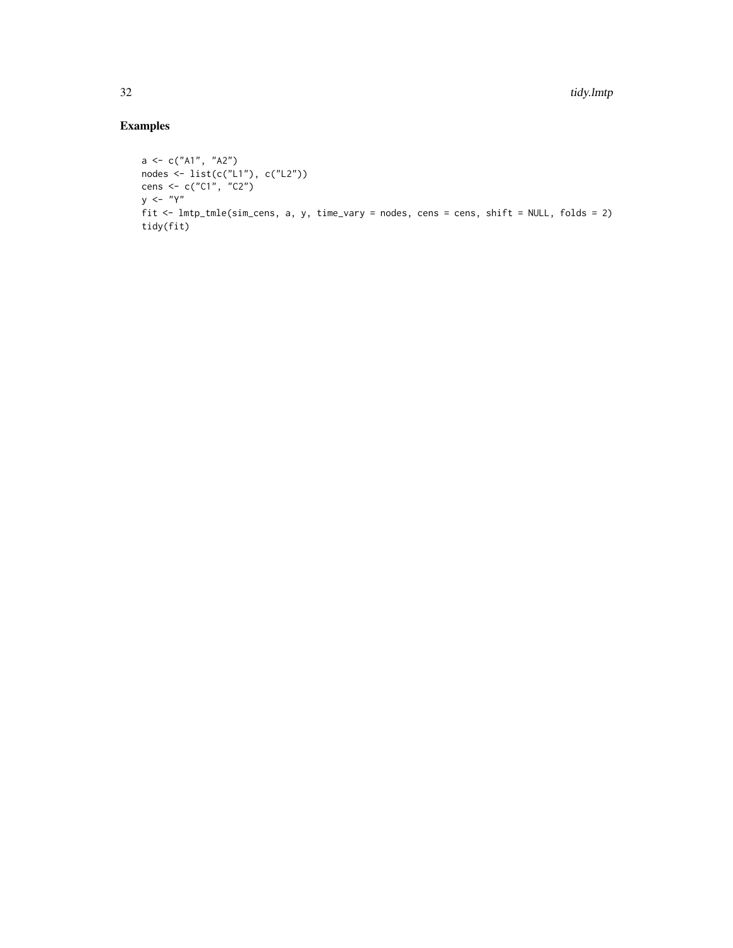```
a \leq c("A1", "A2")nodes <- list(c("L1"), c("L2"))
cens <- c("C1", "C2")
y <- "Y"
fit <- lmtp_tmle(sim_cens, a, y, time_vary = nodes, cens = cens, shift = NULL, folds = 2)
tidy(fit)
```